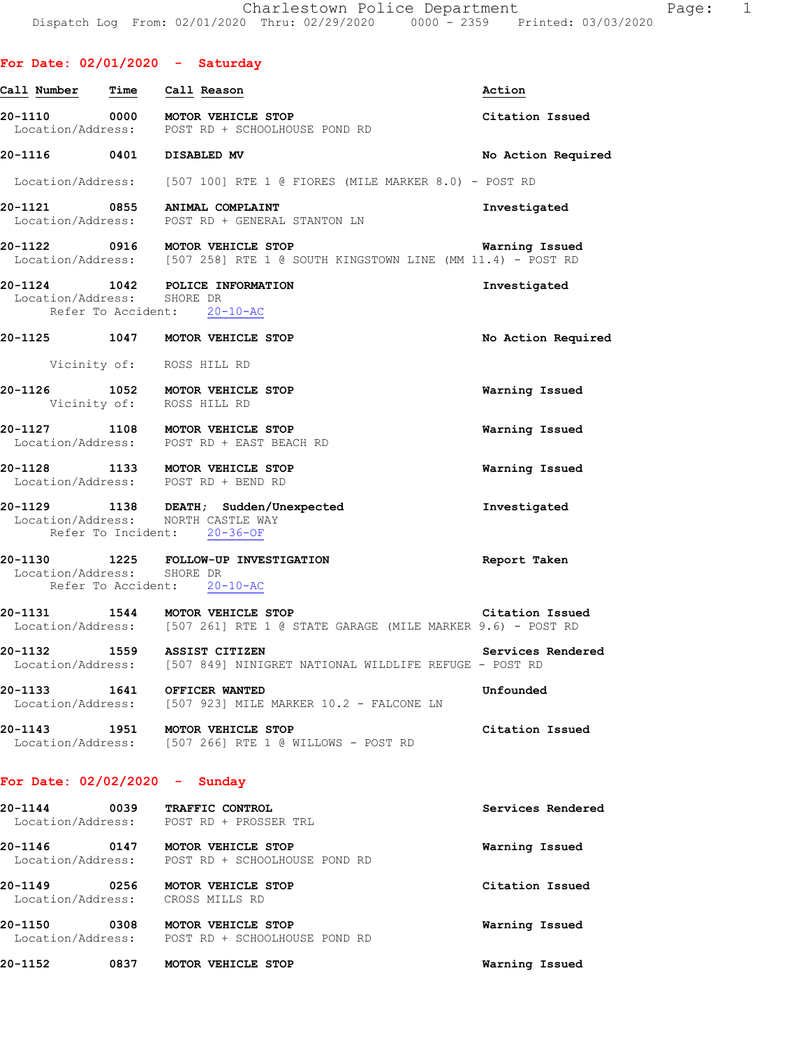|                                 |      | For Date: $02/01/2020 -$ Saturday                                                                               |                    |
|---------------------------------|------|-----------------------------------------------------------------------------------------------------------------|--------------------|
| Call Number                     | Time | Call Reason                                                                                                     | Action             |
|                                 |      | 20-1110 0000 MOTOR VEHICLE STOP<br>Location/Address: POST RD + SCHOOLHOUSE POND RD                              | Citation Issued    |
| 20-1116 0401 DISABLED MV        |      |                                                                                                                 | No Action Required |
|                                 |      | Location/Address: [507 100] RTE 1 @ FIORES (MILE MARKER 8.0) - POST RD                                          |                    |
|                                 |      | 20-1121 0855 ANIMAL COMPLAINT<br>Location/Address: POST RD + GENERAL STANTON LN                                 | Investigated       |
|                                 |      | 20-1122 0916 MOTOR VEHICLE STOP<br>Location/Address: [507 258] RTE 1 @ SOUTH KINGSTOWN LINE (MM 11.4) - POST RD | Warning Issued     |
| Location/Address: SHORE DR      |      | 20-1124 1042 POLICE INFORMATION<br>Refer To Accident: 20-10-AC                                                  | Investigated       |
|                                 |      | 20-1125 1047 MOTOR VEHICLE STOP                                                                                 | No Action Required |
|                                 |      | Vicinity of: ROSS HILL RD                                                                                       |                    |
|                                 |      | 20-1126 1052 MOTOR VEHICLE STOP<br>Vicinity of: ROSS HILL RD                                                    | Warning Issued     |
|                                 |      | 20-1127 1108 MOTOR VEHICLE STOP<br>Location/Address: POST RD + EAST BEACH RD                                    | Warning Issued     |
|                                 |      | 20-1128 1133 MOTOR VEHICLE STOP<br>Location/Address: POST RD + BEND RD                                          | Warning Issued     |
|                                 |      | 20-1129 1138 DEATH; Sudden/Unexpected<br>Location/Address: NORTH CASTLE WAY<br>Refer To Incident: 20-36-OF      | Investigated       |
| Location/Address: SHORE DR      |      | 20-1130 1225 FOLLOW-UP INVESTIGATION<br>Refer To Accident: 20-10-AC                                             | Report Taken       |
|                                 |      | 20-1131 1544 MOTOR VEHICLE STOP<br>Location/Address: [507 261] RTE 1 @ STATE GARAGE (MILE MARKER 9.6) - POST RD | Citation Issued    |
|                                 |      | 20-1132 1559 ASSIST CITIZEN<br>Location/Address: [507 849] NINIGRET NATIONAL WILDLIFE REFUGE - POST RD          | Services Rendered  |
|                                 |      | 20-1133 1641 OFFICER WANTED<br>Location/Address: [507 923] MILE MARKER 10.2 - FALCONE LN                        | Unfounded          |
| 20-1143                         |      | 1951 MOTOR VEHICLE STOP<br>Location/Address: [507 266] RTE 1 @ WILLOWS - POST RD                                | Citation Issued    |
| For Date: $02/02/2020 -$ Sunday |      |                                                                                                                 |                    |
| 20-1144                         |      | 0039 TRAFFIC CONTROL<br>Location/Address: POST RD + PROSSER TRL                                                 | Services Rendered  |
|                                 |      | 20-1146 0147 MOTOR VEHICLE STOP<br>Location/Address: POST RD + SCHOOLHOUSE POND RD                              | Warning Issued     |
| 20-1149                         |      | 0256 MOTOR VEHICLE STOP<br>Location/Address: CROSS MILLS RD                                                     | Citation Issued    |
|                                 |      | 20-1150 0308 MOTOR VEHICLE STOP<br>Location/Address: POST RD + SCHOOLHOUSE POND RD                              | Warning Issued     |
| 20-1152                         |      | 0837 MOTOR VEHICLE STOP                                                                                         | Warning Issued     |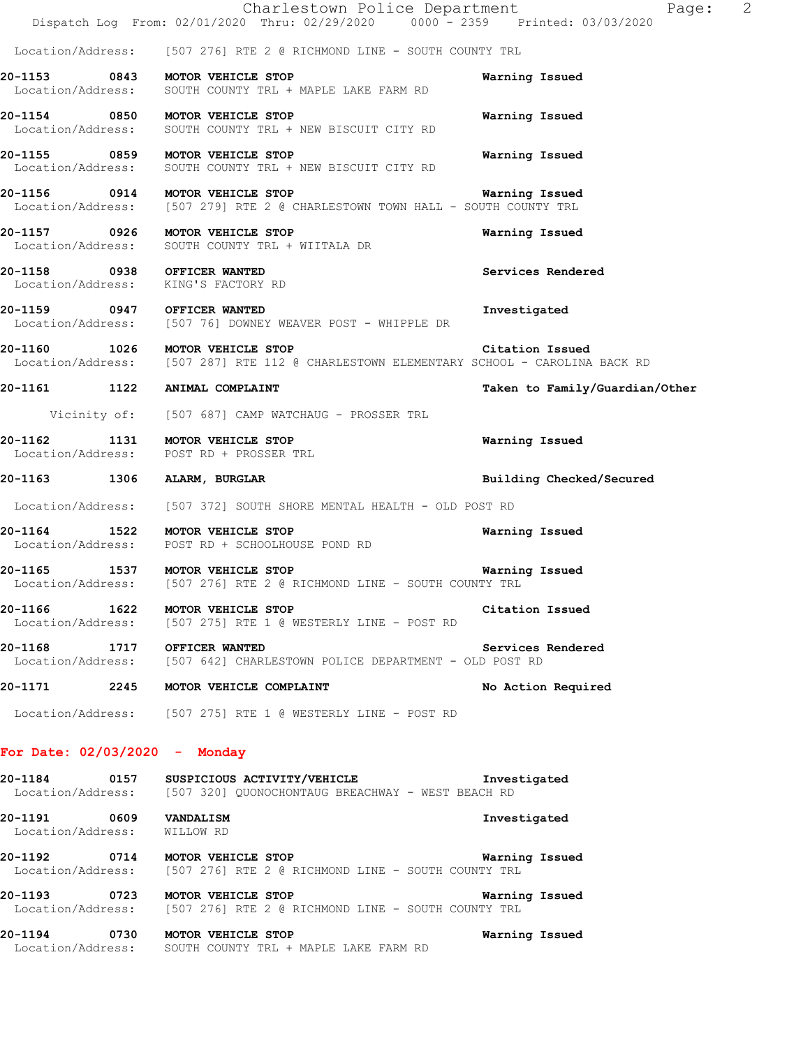|                                                       | Charlestown Police Department<br>Dispatch Log From: 02/01/2020 Thru: 02/29/2020 0000 <sup>-</sup> 2359 Printed: 03/03/2020                | 2<br>Page:                     |
|-------------------------------------------------------|-------------------------------------------------------------------------------------------------------------------------------------------|--------------------------------|
|                                                       | Location/Address: [507 276] RTE 2 @ RICHMOND LINE - SOUTH COUNTY TRL                                                                      |                                |
|                                                       | 20-1153 0843 MOTOR VEHICLE STOP<br>Location/Address: SOUTH COUNTY TRL + MAPLE LAKE FARM RD                                                | Warning Issued                 |
|                                                       | 20-1154 0850 MOTOR VEHICLE STOP<br>Location/Address: SOUTH COUNTY TRL + NEW BISCUIT CITY RD                                               | Warning Issued                 |
|                                                       | 20-1155 0859 MOTOR VEHICLE STOP<br>Location/Address: SOUTH COUNTY TRL + NEW BISCUIT CITY RD                                               | Warning Issued                 |
|                                                       | 20-1156 0914 MOTOR VEHICLE STOP<br>Location/Address: [507 279] RTE 2 @ CHARLESTOWN TOWN HALL - SOUTH COUNTY TRL                           | Warning Issued                 |
|                                                       | 20-1157 0926 MOTOR VEHICLE STOP<br>Location/Address: SOUTH COUNTY TRL + WIITALA DR                                                        | Warning Issued                 |
|                                                       | 20-1158 0938 OFFICER WANTED<br>Location/Address: KING'S FACTORY RD                                                                        | Services Rendered              |
| 20-1159 0947 OFFICER WANTED                           | Location/Address: [507 76] DOWNEY WEAVER POST - WHIPPLE DR                                                                                | Investigated                   |
|                                                       | 20-1160 1026 MOTOR VEHICLE STOP Citation Issued<br>Location/Address: [507 287] RTE 112 @ CHARLESTOWN ELEMENTARY SCHOOL - CAROLINA BACK RD |                                |
|                                                       | 20-1161 1122 ANIMAL COMPLAINT                                                                                                             | Taken to Family/Guardian/Other |
|                                                       | Vicinity of: [507 687] CAMP WATCHAUG - PROSSER TRL                                                                                        |                                |
|                                                       | 20-1162 1131 MOTOR VEHICLE STOP<br>Location/Address: POST RD + PROSSER TRL                                                                | Warning Issued                 |
|                                                       | 20-1163 1306 ALARM, BURGLAR                                                                                                               | Building Checked/Secured       |
|                                                       | Location/Address: [507 372] SOUTH SHORE MENTAL HEALTH - OLD POST RD                                                                       |                                |
|                                                       | 20-1164 1522 MOTOR VEHICLE STOP<br>Location/Address: POST RD + SCHOOLHOUSE POND RD                                                        | Warning Issued                 |
|                                                       | 20-1165 1537 MOTOR VEHICLE STOP<br>Location/Address: [507 276] RTE 2 @ RICHMOND LINE - SOUTH COUNTY TRL                                   | Warning Issued                 |
|                                                       | 20-1166 1622 MOTOR VEHICLE STOP<br>Location/Address: [507 275] RTE 1 @ WESTERLY LINE - POST RD                                            | Citation Issued                |
| 20-1168 1717 OFFICER WANTED                           | Location/Address: [507 642] CHARLESTOWN POLICE DEPARTMENT - OLD POST RD                                                                   | Services Rendered              |
|                                                       | 20-1171 2245 MOTOR VEHICLE COMPLAINT                                                                                                      | No Action Required             |
|                                                       | Location/Address: [507 275] RTE 1 @ WESTERLY LINE - POST RD                                                                               |                                |
| For Date: $02/03/2020 -$ Monday                       |                                                                                                                                           |                                |
| 20-1184                                               | 0157 SUSPICIOUS ACTIVITY/VEHICLE The Investigated<br>Location/Address: [507 320] QUONOCHONTAUG BREACHWAY - WEST BEACH RD                  |                                |
| 20-1191 0609 VANDALISM<br>Location/Address: WILLOW RD |                                                                                                                                           | Investigated                   |
|                                                       | Location/Address: [507 276] RTE 2 @ RICHMOND LINE - SOUTH COUNTY TRL                                                                      | Warning Issued                 |
|                                                       | 20-1193 0723 MOTOR VEHICLE STOP<br>Location/Address: [507 276] RTE 2 @ RICHMOND LINE - SOUTH COUNTY TRL                                   | Warning Issued                 |
|                                                       | 20-1194 0730 MOTOR VEHICLE STOP<br>Location/Address: SOUTH COUNTY TRL + MAPLE LAKE FARM RD                                                | Warning Issued                 |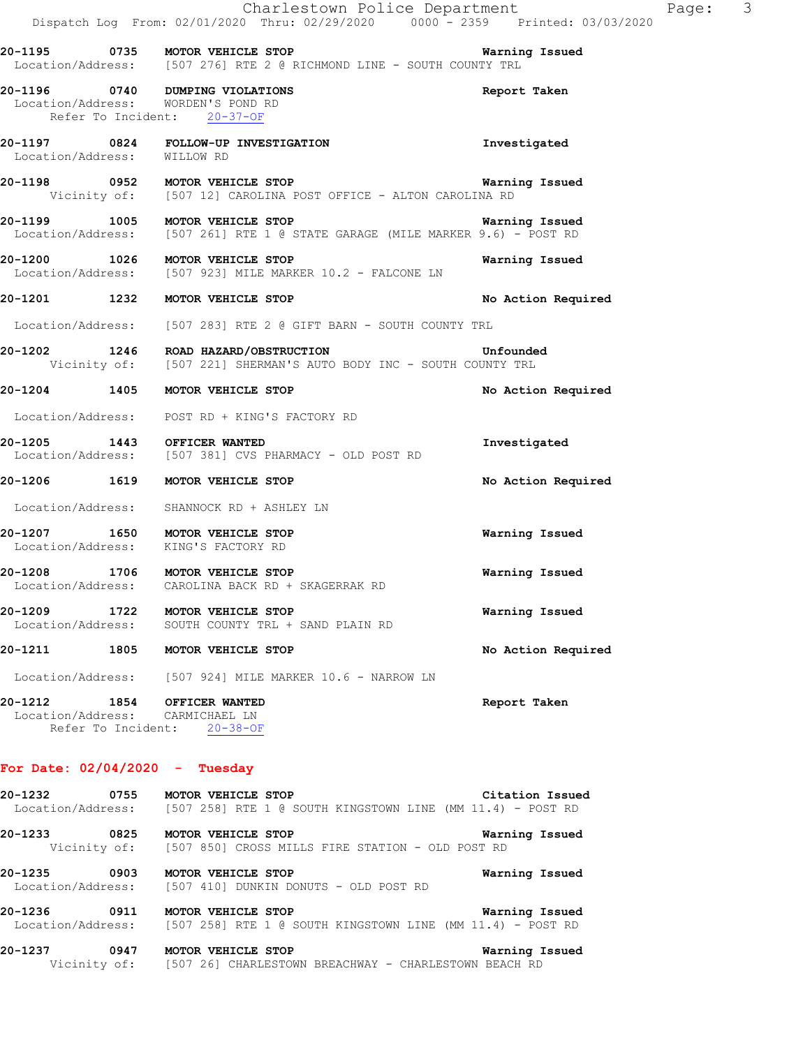|                                      | Charlestown Police Department<br>Dispatch Log From: 02/01/2020 Thru: 02/29/2020 0000 <sup>-</sup> 2359 Printed: 03/03/2020                                                          |                       |
|--------------------------------------|-------------------------------------------------------------------------------------------------------------------------------------------------------------------------------------|-----------------------|
|                                      | 20-1195 0735 MOTOR VEHICLE STOP<br>Location/Address: [507 276] RTE 2 @ RICHMOND LINE - SOUTH COUNTY TRL                                                                             | Warning Issued        |
|                                      | 20-1196 0740 DUMPING VIOLATIONS<br>Location/Address: WORDEN'S POND RD<br>Refer To Incident: 20-37-OF                                                                                | Report Taken          |
|                                      | 20-1197 0824 FOLLOW-UP INVESTIGATION<br>Location/Address: WILLOW RD                                                                                                                 | Investigated          |
|                                      | <b>20-1198</b> 0952 MOTOR VEHICLE STOP <b>Warning Issued</b><br>Vicinity of: [507 12] CAROLINA POST OFFICE - ALTON CAROLINA RD                                                      |                       |
|                                      | <b>20-1199 1005 MOTOR VEHICLE STOP WAREL BEEN SERVEL AT A SERVEL SERVEL SERVEL STOP Warning Issued</b> Location/Address: [507 261] RTE 1 @ STATE GARAGE (MILE MARKER 9.6) - POST RD | Warning Issued        |
|                                      | 20-1200 1026 MOTOR VEHICLE STOP<br>Location/Address: [507 923] MILE MARKER 10.2 - FALCONE LN                                                                                        | Warning Issued        |
|                                      | 20-1201 1232 MOTOR VEHICLE STOP                                                                                                                                                     | No Action Required    |
|                                      | Location/Address: [507 283] RTE 2 @ GIFT BARN - SOUTH COUNTY TRL                                                                                                                    |                       |
|                                      | 20-1202 1246 ROAD HAZARD/OBSTRUCTION<br>Vicinity of: [507 221] SHERMAN'S AUTO BODY INC - SOUTH COUNTY TRL                                                                           | Unfounded             |
|                                      | 20-1204 1405 MOTOR VEHICLE STOP                                                                                                                                                     | No Action Required    |
|                                      | Location/Address: POST RD + KING'S FACTORY RD                                                                                                                                       |                       |
|                                      | 20-1205 1443 OFFICER WANTED<br>Location/Address: [507 381] CVS PHARMACY - OLD POST RD                                                                                               | Investigated          |
|                                      | 20-1206 1619 MOTOR VEHICLE STOP                                                                                                                                                     | No Action Required    |
|                                      | Location/Address: SHANNOCK RD + ASHLEY LN                                                                                                                                           |                       |
|                                      | 20-1207 1650 MOTOR VEHICLE STOP<br>Location/Address: KING'S FACTORY RD                                                                                                              | Warning Issued        |
| Location/Address:                    | 20-1208 1706 MOTOR VEHICLE STOP<br>CAROLINA BACK RD + SKAGERRAK RD                                                                                                                  | <b>Warning Issued</b> |
| 20-1209<br>1722<br>Location/Address: | MOTOR VEHICLE STOP<br>SOUTH COUNTY TRL + SAND PLAIN RD                                                                                                                              | Warning Issued        |
| 20-1211                              | 1805<br>MOTOR VEHICLE STOP                                                                                                                                                          | No Action Required    |
|                                      | Location/Address: [507 924] MILE MARKER 10.6 - NARROW LN                                                                                                                            |                       |
| Refer To Incident:                   | 20-1212 1854 OFFICER WANTED<br>Location/Address: CARMICHAEL LN<br>$20 - 38 - OF$                                                                                                    | Report Taken          |

Page: 3

## **For Date: 02/04/2020 - Tuesday**

| 20-1232<br>0755 | Citation Issued<br><b>MOTOR VEHICLE STOP</b><br>Location/Address: [507 258] RTE 1 @ SOUTH KINGSTOWN LINE (MM 11.4) - POST RD |
|-----------------|------------------------------------------------------------------------------------------------------------------------------|
| 20-1233<br>0825 | Warning Issued<br><b>MOTOR VEHICLE STOP</b><br>Vicinity of: [507 850] CROSS MILLS FIRE STATION - OLD POST RD                 |
| 20-1235<br>0903 | Warning Issued<br>MOTOR VEHICLE STOP<br>Location/Address: [507 410] DUNKIN DONUTS - OLD POST RD                              |
| 20-1236<br>0911 | Warning Issued<br>MOTOR VEHICLE STOP<br>Location/Address: [507 258] RTE 1 @ SOUTH KINGSTOWN LINE (MM 11.4) - POST RD         |
| 20-1237<br>0947 | Warning Issued<br>MOTOR VEHICLE STOP<br>Vicinity of: [507 26] CHARLESTOWN BREACHWAY - CHARLESTOWN BEACH RD                   |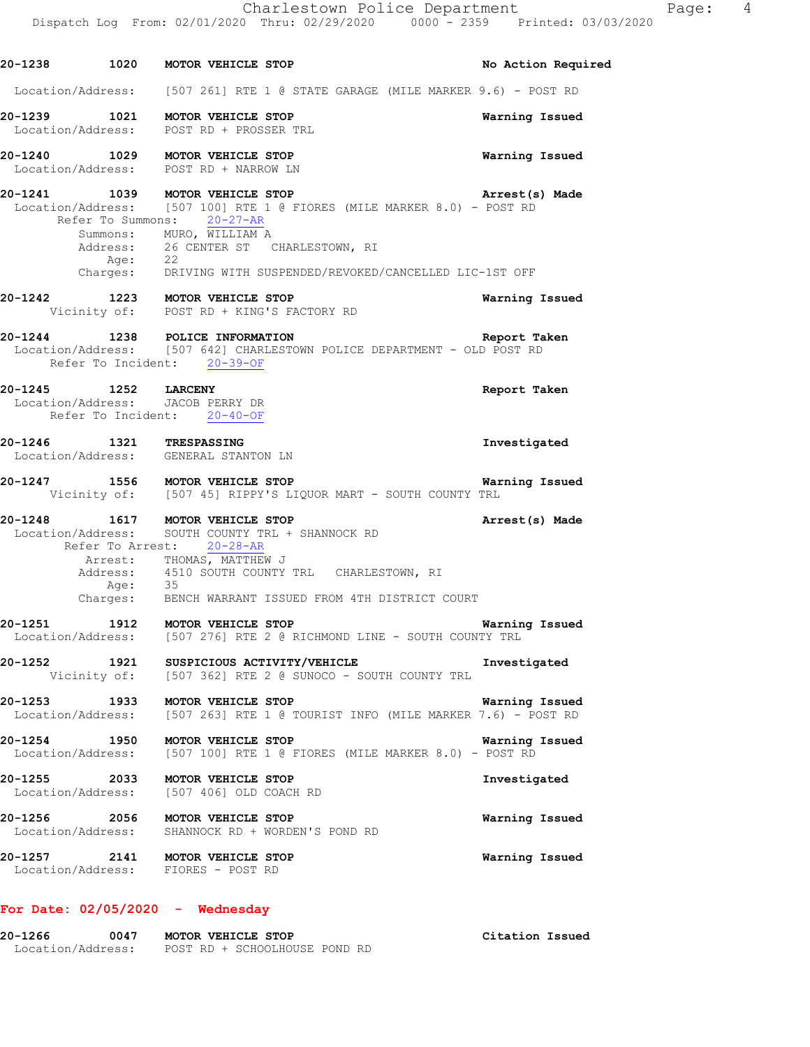**20-1238 1020 MOTOR VEHICLE STOP No Action Required**  Location/Address: [507 261] RTE 1 @ STATE GARAGE (MILE MARKER 9.6) - POST RD **20-1239 1021 MOTOR VEHICLE STOP Warning Issued**  Location/Address: POST RD + PROSSER TRL **20-1240 1029 MOTOR VEHICLE STOP Warning Issued**  Location/Address: POST RD + NARROW LN **20-1241 1039 MOTOR VEHICLE STOP Arrest(s) Made**  Location/Address: [507 100] RTE 1 @ FIORES (MILE MARKER 8.0) - POST RD Refer To Summons: 20-27-AR Summons: MURO, WILLIAM A Address: 26 CENTER ST CHARLESTOWN, RI Age: 22 Charges: DRIVING WITH SUSPENDED/REVOKED/CANCELLED LIC-1ST OFF **20-1242 1223 MOTOR VEHICLE STOP Warning Issued**  Vicinity of: POST RD + KING'S FACTORY RD **20-1244 1238 POLICE INFORMATION Report Taken**  Location/Address: [507 642] CHARLESTOWN POLICE DEPARTMENT - OLD POST RD Refer To Incident: 20-39-OF **20-1245 1252 LARCENY Report Taken**  Location/Address: JACOB PERRY DR Refer To Incident: 20-40-OF **20-1246 1321 TRESPASSING Investigated**  Location/Address: GENERAL STANTON LN **20-1247 1556 MOTOR VEHICLE STOP Warning Issued**  Vicinity of: [507 45] RIPPY'S LIQUOR MART - SOUTH COUNTY TRL **20-1248 1617 MOTOR VEHICLE STOP Arrest(s) Made**  Location/Address: SOUTH COUNTY TRL + SHANNOCK RD Refer To Arrest: 20-28-AR Arrest: THOMAS, MATTHEW J Address: 4510 SOUTH COUNTY TRL CHARLESTOWN, RI<br>Age: 35 Age: 35 Charges: BENCH WARRANT ISSUED FROM 4TH DISTRICT COURT **20-1251 1912 MOTOR VEHICLE STOP Warning Issued**  Location/Address: [507 276] RTE 2 @ RICHMOND LINE - SOUTH COUNTY TRL **20-1252 1921 SUSPICIOUS ACTIVITY/VEHICLE Investigated**  Vicinity of: [507 362] RTE 2 @ SUNOCO - SOUTH COUNTY TRL **20-1253 1933 MOTOR VEHICLE STOP Warning Issued**  Location/Address: [507 263] RTE 1 @ TOURIST INFO (MILE MARKER 7.6) - POST RD **20-1254 1950 MOTOR VEHICLE STOP WARKER 8.0)** - **Warning Issued** Location/Address: [507 100] RTE 1 @ FIORES (MILE MARKER 8.0) - POST RD [507 100] RTE 1 @ FIORES (MILE MARKER 8.0) - POST RD **20-1255 2033 MOTOR VEHICLE STOP Investigated**  Location/Address: [507 406] OLD COACH RD **20-1256 2056 MOTOR VEHICLE STOP Warning Issued**  Location/Address: SHANNOCK RD + WORDEN'S POND RD **20-1257 2141 MOTOR VEHICLE STOP Warning Issued**  Location/Address: FIORES - POST RD

## **For Date: 02/05/2020 - Wednesday**

**20-1266 0047 MOTOR VEHICLE STOP Citation Issued**  Location/Address: POST RD + SCHOOLHOUSE POND RD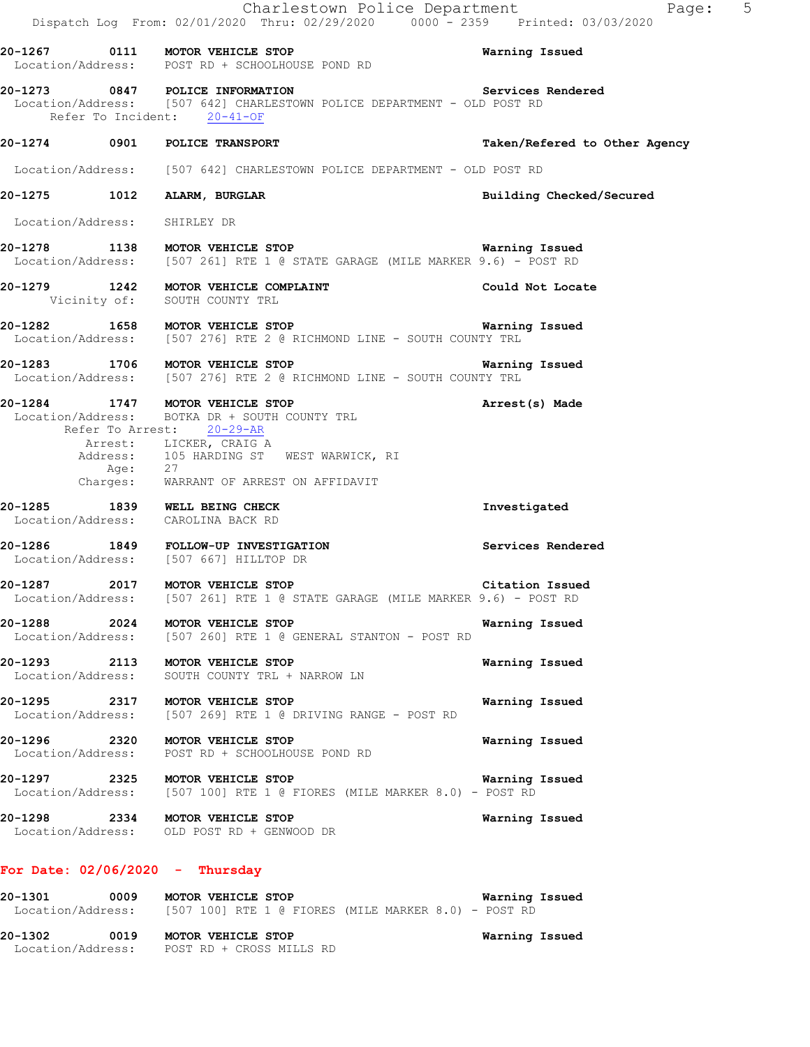|                                                                     | Charlestown Police Department<br>Dispatch Log From: 02/01/2020 Thru: 02/29/2020 0000 - 2359 Printed: 03/03/2020                              | Page: 5                       |
|---------------------------------------------------------------------|----------------------------------------------------------------------------------------------------------------------------------------------|-------------------------------|
|                                                                     | 20-1267 0111 MOTOR VEHICLE STOP<br>Location/Address: POST RD + SCHOOLHOUSE POND RD                                                           | Warning Issued                |
| Refer To Incident: 20-41-OF                                         | 20-1273 0847 POLICE INFORMATION Services<br>Location/Address: [507 642] CHARLESTOWN POLICE DEPARTMENT - OLD POST RD                          | Services Rendered             |
| 20-1274 0901 POLICE TRANSPORT                                       |                                                                                                                                              | Taken/Refered to Other Agency |
|                                                                     | Location/Address: [507 642] CHARLESTOWN POLICE DEPARTMENT - OLD POST RD                                                                      |                               |
| 20-1275 1012 ALARM, BURGLAR                                         |                                                                                                                                              | Building Checked/Secured      |
| Location/Address: SHIRLEY DR                                        |                                                                                                                                              |                               |
|                                                                     | <b>20-1278</b> 1138 MOTOR VEHICLE STOP <b>Warning Issued</b><br>Location/Address: [507 261] RTE 1 @ STATE GARAGE (MILE MARKER 9.6) - POST RD | Warning Issued                |
|                                                                     | 20-1279 1242 MOTOR VEHICLE COMPLAINT<br>Vicinity of: SOUTH COUNTY TRL                                                                        | Could Not Locate              |
|                                                                     | 20-1282 1658 MOTOR VEHICLE STOP<br>Location/Address: [507 276] RTE 2 @ RICHMOND LINE - SOUTH COUNTY TRL                                      | Warning Issued                |
|                                                                     | 20-1283 1706 MOTOR VEHICLE STOP 1991 1991 Warning Issued<br>Location/Address: [507 276] RTE 2 @ RICHMOND LINE - SOUTH COUNTY TRL             |                               |
| 20-1284 1747 MOTOR VEHICLE STOP                                     | Location/Address: BOTKA DR + SOUTH COUNTY TRL<br>Refer To Arrest: 20-29-AR<br>Arrest: LICKER, CRAIG A                                        | Arrest(s) Made                |
| Age: 27                                                             | Address: 105 HARDING ST WEST WARWICK, RI<br>Charges: WARRANT OF ARREST ON AFFIDAVIT                                                          |                               |
| 20-1285 1839 WELL BEING CHECK<br>Location/Address: CAROLINA BACK RD |                                                                                                                                              | Investigated                  |
|                                                                     | 20-1286 1849 FOLLOW-UP INVESTIGATION<br>Location/Address: [507 667] HILLTOP DR                                                               | Services Rendered             |
| 20-1287 2017 MOTOR VEHICLE STOP<br>Location/Address:                | [507 261] RTE 1 @ STATE GARAGE (MILE MARKER 9.6) - POST RD                                                                                   | Citation Issued               |
| 20-1288 2024                                                        | MOTOR VEHICLE STOP<br>Location/Address: [507 260] RTE 1 @ GENERAL STANTON - POST RD                                                          | Warning Issued                |
| 20-1293 2113 MOTOR VEHICLE STOP                                     | Location/Address: SOUTH COUNTY TRL + NARROW LN                                                                                               | Warning Issued                |
| 20-1295 2317 MOTOR VEHICLE STOP                                     | Location/Address: [507 269] RTE 1 @ DRIVING RANGE - POST RD                                                                                  | Warning Issued                |
| 20-1296 2320 MOTOR VEHICLE STOP                                     | Location/Address: POST RD + SCHOOLHOUSE POND RD                                                                                              | Warning Issued                |
| 20-1297 2325 MOTOR VEHICLE STOP                                     | Location/Address: [507 100] RTE 1 @ FIORES (MILE MARKER 8.0) - POST RD                                                                       | Warning Issued                |
|                                                                     | 20-1298 2334 MOTOR VEHICLE STOP<br>Location/Address: OLD POST RD + GENWOOD DR                                                                | Warning Issued                |
| For Date: $02/06/2020 -$ Thursday                                   |                                                                                                                                              |                               |
| 20-1301                                                             | 0009 MOTOR VEHICLE STOP                                                                                                                      | Warning Issued                |

Location/Address: [507 100] RTE 1 @ FIORES (MILE MARKER 8.0) - POST RD

Location/Address: POST RD + CROSS MILLS RD

**20-1302 0019 MOTOR VEHICLE STOP Warning Issued**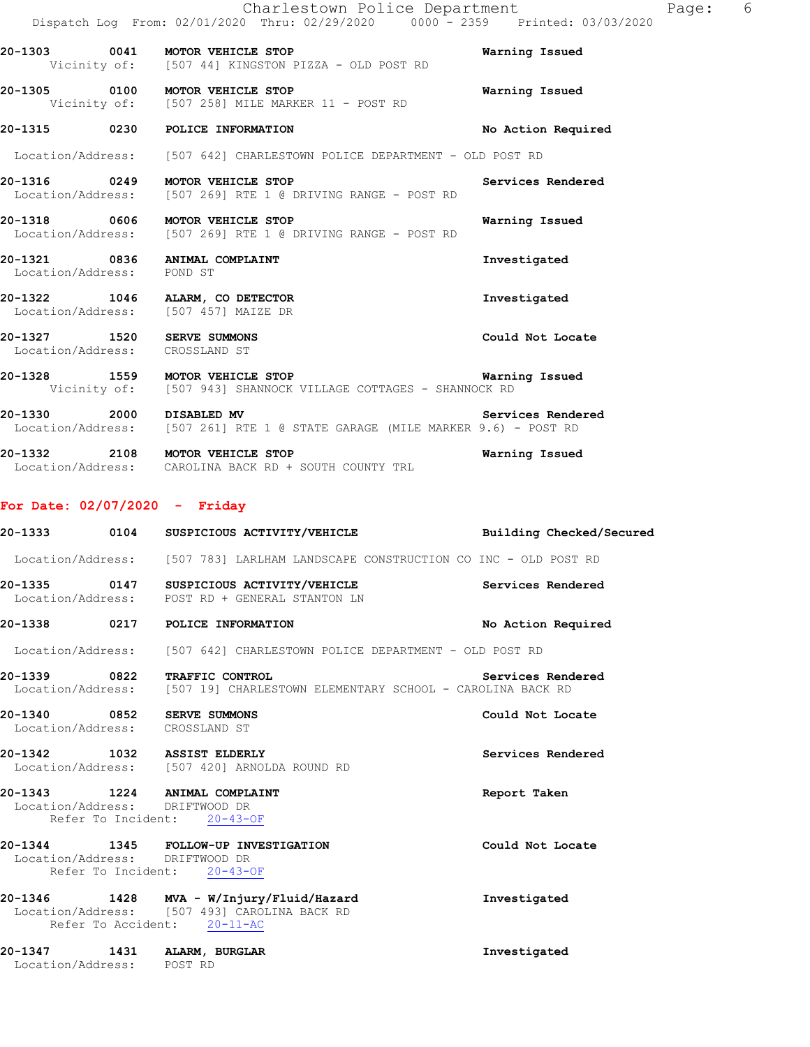|                                                              | Charlestown Police Department<br>Dispatch Log From: 02/01/2020 Thru: 02/29/2020 0000 - 2359 Printed: 03/03/2020            |                    |
|--------------------------------------------------------------|----------------------------------------------------------------------------------------------------------------------------|--------------------|
|                                                              | 20-1303 0041 MOTOR VEHICLE STOP<br>Vicinity of: [507 44] KINGSTON PIZZA - OLD POST RD                                      | Warning Issued     |
|                                                              | 20-1305 0100 MOTOR VEHICLE STOP<br>Vicinity of: [507 258] MILE MARKER 11 - POST RD                                         | Warning Issued     |
|                                                              | 20-1315 0230 POLICE INFORMATION                                                                                            | No Action Required |
|                                                              | Location/Address: [507 642] CHARLESTOWN POLICE DEPARTMENT - OLD POST RD                                                    |                    |
|                                                              | 20-1316 0249 MOTOR VEHICLE STOP<br>Location/Address: [507 269] RTE 1 @ DRIVING RANGE - POST RD                             | Services Rendered  |
|                                                              | 20-1318 0606 MOTOR VEHICLE STOP<br>Location/Address: [507 269] RTE 1 @ DRIVING RANGE - POST RD                             | Warning Issued     |
| 20-1321 0836 ANIMAL COMPLAINT<br>Location/Address: POND ST   |                                                                                                                            | Investigated       |
|                                                              | 20-1322 1046 ALARM, CO DETECTOR<br>Location/Address: [507 457] MAIZE DR                                                    | Investigated       |
| 20-1327 1520 SERVE SUMMONS<br>Location/Address: CROSSLAND ST |                                                                                                                            | Could Not Locate   |
|                                                              | 20-1328 1559 MOTOR VEHICLE STOP 1999 1999 Warning Issued<br>Vicinity of: [507 943] SHANNOCK VILLAGE COTTAGES - SHANNOCK RD |                    |
| 20-1330 2000 DISABLED MV                                     | Location/Address: [507 261] RTE 1 @ STATE GARAGE (MILE MARKER 9.6) - POST RD                                               | Services Rendered  |

Page: 6

**20-1332 2108 MOTOR VEHICLE STOP Warning Issued**  Location/Address: CAROLINA BACK RD + SOUTH COUNTY TRL

## **For Date: 02/07/2020 - Friday**

|                                                              | Location/Address: [507 783] LARLHAM LANDSCAPE CONSTRUCTION CO INC - OLD POST RD                                                          |                    |
|--------------------------------------------------------------|------------------------------------------------------------------------------------------------------------------------------------------|--------------------|
|                                                              | 20-1335 0147 SUSPICIOUS ACTIVITY/VEHICLE Services Rendered Location/Address: POST RD + GENERAL STANTON LN                                |                    |
|                                                              | 20-1338 0217 POLICE INFORMATION                                                                                                          | No Action Required |
|                                                              | Location/Address: [507 642] CHARLESTOWN POLICE DEPARTMENT - OLD POST RD                                                                  |                    |
|                                                              | 20-1339 0822 TRAFFIC CONTROL<br>Services Rendered<br>Location/Address: [507 19] CHARLESTOWN ELEMENTARY SCHOOL - CAROLINA BACK RD         |                    |
| 20-1340 0852 SERVE SUMMONS<br>Location/Address: CROSSLAND ST |                                                                                                                                          | Could Not Locate   |
|                                                              | 20-1342 1032 ASSIST ELDERLY<br>Location/Address: [507 420] ARNOLDA ROUND RD                                                              | Services Rendered  |
| Location/Address: DRIFTWOOD DR                               | 20-1343 1224 ANIMAL COMPLAINT<br>Refer To Incident: 20-43-OF                                                                             | Report Taken       |
| Location/Address: DRIFTWOOD DR                               | 20-1344 1345 FOLLOW-UP INVESTIGATION<br>Refer To Incident: 20-43-OF                                                                      | Could Not Locate   |
|                                                              | 20-1346 1428 MVA - W/Injury/Fluid/Hazard 111 Investigated<br>Location/Address: [507 493] CAROLINA BACK RD<br>Refer To Accident: 20-11-AC |                    |
| Location/Address: POST RD                                    | 20-1347 1431 ALARM, BURGLAR                                                                                                              | Investigated       |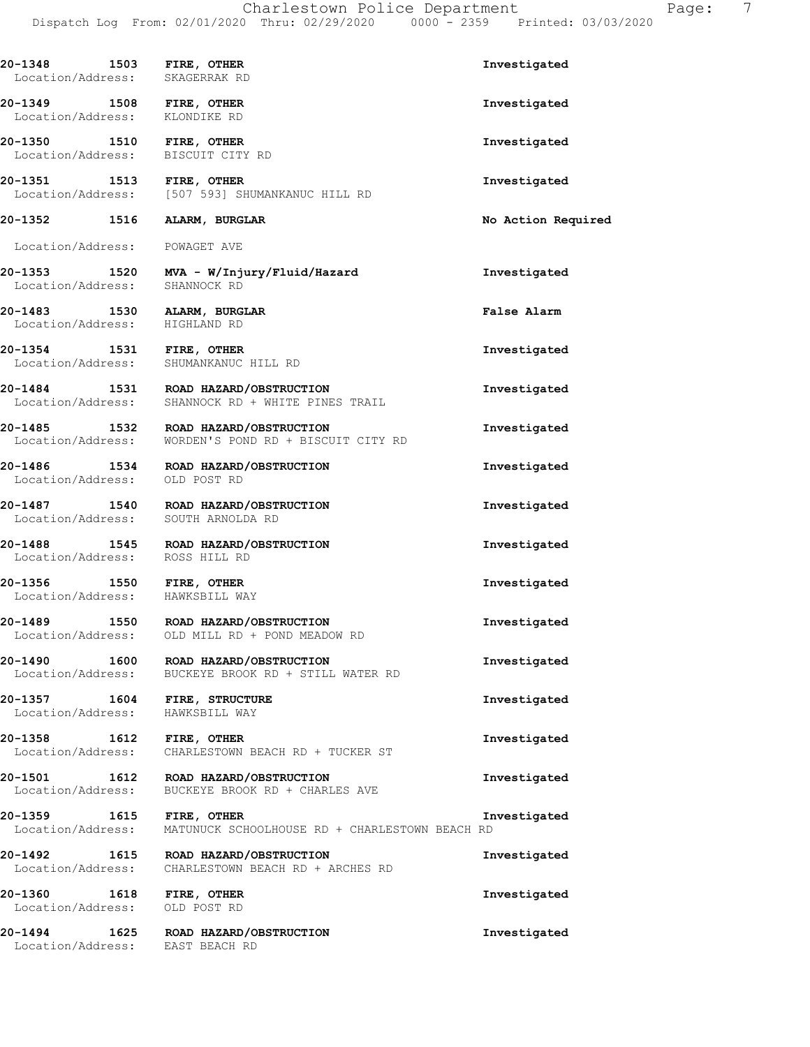| epartment |                    | - 2359 Printed: 03/03/2020 | Page: |
|-----------|--------------------|----------------------------|-------|
|           | Investigated       |                            |       |
|           | Investigated       |                            |       |
|           | Investigated       |                            |       |
|           | Investigated       |                            |       |
|           | No Action Required |                            |       |

**20-1353 1520 MVA - W/Injury/Fluid/Hazard Investigated**  Location/Address: SHANNOCK RD **20-1483 1530 ALARM, BURGLAR False Alarm** 

Location/Address: HIGHLAND RD

**20-1348 1503 FIRE, OTHER** Location/Address: SKAGERRAK RD

**20-1349 1508 FIRE, OTHER**<br>Location/Address: KLONDIKE RD

**20-1350 1510 FIRE, OTHER** Location/Address: BISCUIT CITY RD

**20-1351 1513 FIRE, OTHER Investigated** 

20-1352 1516 **ALARM, BURGLAR** 

Location/Address: POWAGET AVE

Location/Address: [507 593] SHUMANKANUC HILL RD

Location/Address:

**20-1354 1531 FIRE, OTHER Investigated**  Location/Address: SHUMANKANUC HILL RD

**20-1484 1531 ROAD HAZARD/OBSTRUCTION Investigated**  Location/Address: SHANNOCK RD + WHITE PINES TRAIL

**20-1485 1532 ROAD HAZARD/OBSTRUCTION Investigated**  Location/Address: WORDEN'S POND RD + BISCUIT CITY RD

**20-1486 1534 ROAD HAZARD/OBSTRUCTION Investigated**  Location/Address: OLD POST RD

**20-1487 1540 ROAD HAZARD/OBSTRUCTION Investigated**  Location/Address: SOUTH ARNOLDA RD

**20-1488 1545 ROAD HAZARD/OBSTRUCTION Investigated**  Location/Address: ROSS HILL RD

**20-1356 1550 FIRE, OTHER Investigated**  Location/Address: HAWKSBILL WAY

**20-1489 1550 ROAD HAZARD/OBSTRUCTION INVESTIGATE:**<br>Location/Address: OLD MILL RD + POND MEADOW RD OLD MILL RD + POND MEADOW RD

**20-1490 1600 ROAD HAZARD/OBSTRUCTION Investigated**  Location/Address: BUCKEYE BROOK RD + STILL WATER RD

**20-1357 1604 FIRE, STRUCTURE Investigated**  Location/Address: HAWKSBILL WAY

**20-1358 1612 FIRE, OTHER Investigated**  Location/Address: CHARLESTOWN BEACH RD + TUCKER ST

**20-1501 1612 ROAD HAZARD/OBSTRUCTION Investigated**  Location/Address: BUCKEYE BROOK RD + CHARLES AVE

**20-1359 1615 FIRE, OTHER Investigated**  Location/Address: MATUNUCK SCHOOLHOUSE RD + CHARLESTOWN BEACH RD

**20-1492 1615 ROAD HAZARD/OBSTRUCTION Investigated**  Location/Address: CHARLESTOWN BEACH RD + ARCHES RD **20-1360 1618 FIRE, OTHER Investigated** 

Location/Address: OLD POST RD

**20-1494 1625 ROAD HAZARD/OBSTRUCTION Investigated**  Location/Address: EAST BEACH RD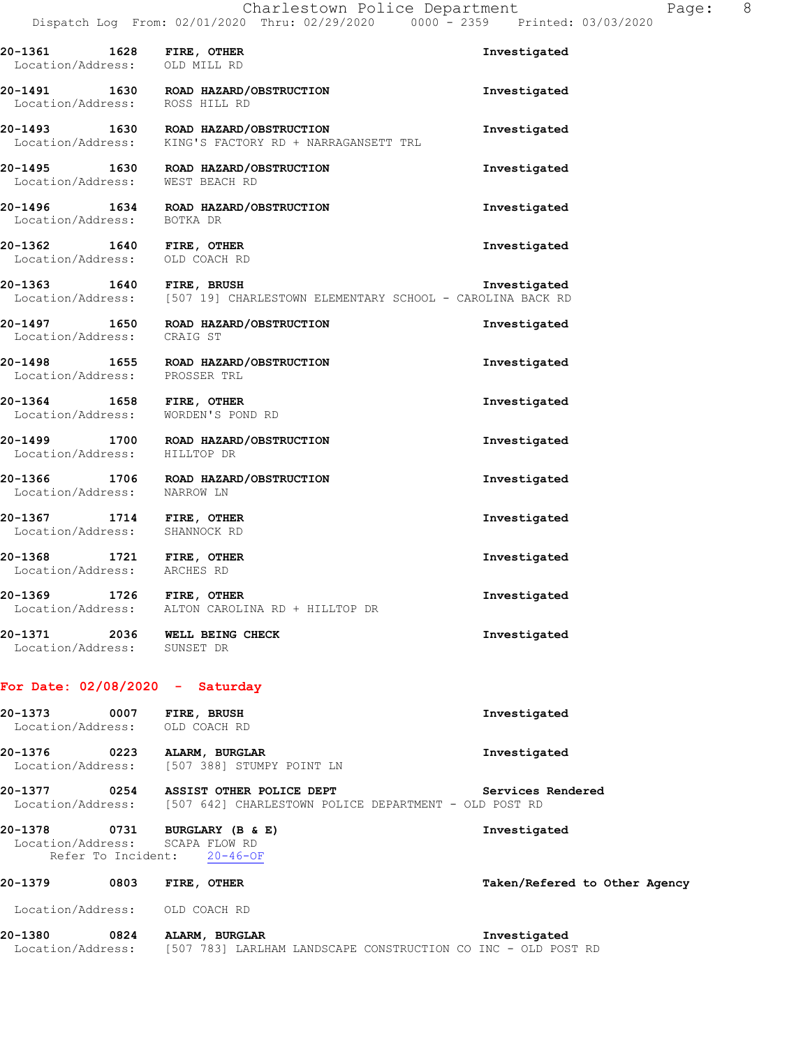| 20-1361 1628 FIRE, OTHER<br>Location/Address: OLD MILL RD  |                                                                                                | Investigated |
|------------------------------------------------------------|------------------------------------------------------------------------------------------------|--------------|
| 20-1491                                                    | 1630 ROAD HAZARD/OBSTRUCTION<br>Location/Address: ROSS HILL RD                                 | Investigated |
|                                                            | 20-1493 1630 ROAD HAZARD/OBSTRUCTION<br>Location/Address: KING'S FACTORY RD + NARRAGANSETT TRL | Investigated |
|                                                            | 20-1495 1630 ROAD HAZARD/OBSTRUCTION<br>Location/Address: WEST BEACH RD                        | Investigated |
| Location/Address: BOTKA DR                                 | 20-1496 1634 ROAD HAZARD/OBSTRUCTION                                                           | Investigated |
| 20-1362 1640 FIRE, OTHER<br>Location/Address: OLD COACH RD |                                                                                                | Investigated |
|                                                            | 20-1363 1640 FIRE, BRUSH 100 EXEMENTARY SCHOOL - CAROLINA BACK RD                              |              |
| Location/Address: CRAIG ST                                 | 20-1497 1650 ROAD HAZARD/OBSTRUCTION                                                           | Investigated |
| Location/Address: PROSSER TRL                              | 20-1498 1655 ROAD HAZARD/OBSTRUCTION                                                           | Investigated |
| 1658 FIRE, OTHER<br>20-1364<br>Location/Address:           | WORDEN'S POND RD                                                                               | Investigated |
| 20-1499<br>Location/Address: HILLTOP DR                    | 1700 ROAD HAZARD/OBSTRUCTION                                                                   | Investigated |
|                                                            | 20-1366 1706 ROAD HAZARD/OBSTRUCTION<br>Location/Address: NARROW LN                            | Investigated |
| 20-1367 1714 FIRE, OTHER<br>Location/Address: SHANNOCK RD  |                                                                                                | Investigated |
| 20-1368<br>1721 FIRE, OTHER<br>Location/Address: ARCHES RD |                                                                                                | Investigated |
| 20-1369                                                    | 1726 FIRE, OTHER<br>Location/Address: ALTON CAROLINA RD + HILLTOP DR                           | Investigated |
| 20-1371<br>Location/Address: SUNSET DR                     | 2036 WELL BEING CHECK                                                                          | Investigated |
| For Date: $02/08/2020 -$ Saturday                          |                                                                                                |              |

| 20-1373<br>Location/Address: | 0007                       | FIRE, BRUSH<br>OLD COACH RD                                                                         | Investigated                                                                  |
|------------------------------|----------------------------|-----------------------------------------------------------------------------------------------------|-------------------------------------------------------------------------------|
| 20-1376<br>Location/Address: | 0223                       | ALARM, BURGLAR<br>[507 388] STUMPY POINT LN                                                         | Investigated                                                                  |
| 20-1377                      | 0254                       | ASSIST OTHER POLICE DEPT<br>Location/Address: [507 642] CHARLESTOWN POLICE DEPARTMENT - OLD POST RD | Services Rendered                                                             |
| 20-1378<br>Location/Address: | 0731<br>Refer To Incident: | BURGLARY (B & E)<br>SCAPA FLOW RD<br>$20 - 46 - OF$                                                 | Investigated                                                                  |
| 20-1379                      | 0803                       | FIRE, OTHER                                                                                         | Taken/Refered to Other Agency                                                 |
| Location/Address:            |                            | OLD COACH RD                                                                                        |                                                                               |
| 20-1380<br>Location/Address: | 0824                       | ALARM, BURGLAR                                                                                      | Investigated<br>[507 783] LARLHAM LANDSCAPE CONSTRUCTION CO INC - OLD POST RD |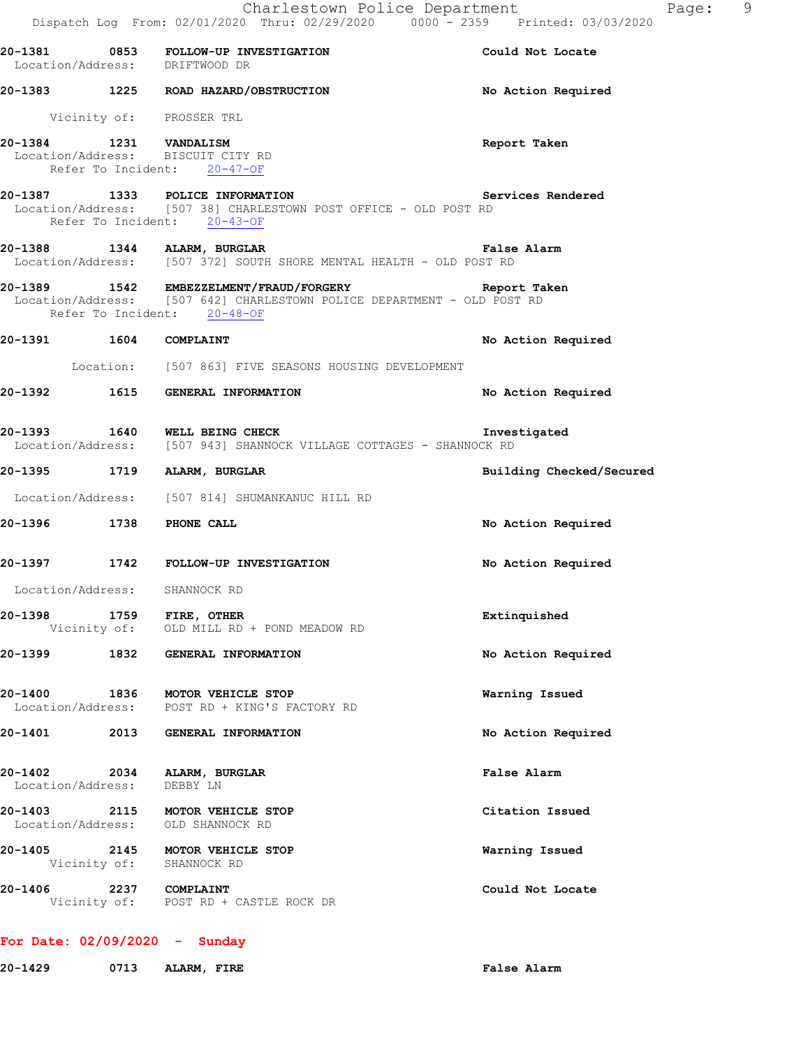|                              |      | Dispatch Log From: 02/01/2020 Thru: 02/29/2020 0000 <sup>-</sup> 2359 Printed: 03/03/2020                                                                          | Charlestown Police Department<br>Page: 9 |  |
|------------------------------|------|--------------------------------------------------------------------------------------------------------------------------------------------------------------------|------------------------------------------|--|
|                              |      | 20-1381 0853 FOLLOW-UP INVESTIGATION THE SOLL Could Not Locate<br>Location/Address: DRIFTWOOD DR                                                                   |                                          |  |
|                              |      | 20-1383 1225 ROAD HAZARD/OBSTRUCTION                                                                                                                               | No Action Required                       |  |
|                              |      | Vicinity of: PROSSER TRL                                                                                                                                           |                                          |  |
|                              |      | 20-1384 1231 VANDALISM<br>Location/Address: BISCUIT CITY RD<br>Refer To Incident: $20-47-OF$                                                                       | Report Taken                             |  |
|                              |      | 20-1387 1333 POLICE INFORMATION<br>Location/Address: [507 38] CHARLESTOWN POST OFFICE - OLD POST RD<br>Refer To Incident: 20-43-OF                                 | Services Rendered                        |  |
|                              |      | 20-1388 1344 ALARM, BURGLAR<br>Location/Address: [507 372] SOUTH SHORE MENTAL HEALTH - OLD POST RD                                                                 | False Alarm                              |  |
|                              |      | 20-1389   1542 EMBEZZELMENT/FRAUD/FORGERY   Report Taken<br>Location/Address: [507 642] CHARLESTOWN POLICE DEPARTMENT - OLD POST RD<br>Refer To Incident: 20-48-OF |                                          |  |
| 20-1391   1604   COMPLAINT   |      |                                                                                                                                                                    | No Action Required                       |  |
|                              |      | Location: [507 863] FIVE SEASONS HOUSING DEVELOPMENT                                                                                                               |                                          |  |
|                              |      | 20-1392 1615 GENERAL INFORMATION                                                                                                                                   | No Action Required                       |  |
|                              |      | 20-1393 1640 WELL BEING CHECK<br>Location/Address: [507 943] SHANNOCK VILLAGE COTTAGES - SHANNOCK RD                                                               | Investigated                             |  |
|                              |      | 20-1395 1719 ALARM, BURGLAR                                                                                                                                        | Building Checked/Secured                 |  |
|                              |      | Location/Address: [507 814] SHUMANKANUC HILL RD                                                                                                                    |                                          |  |
|                              |      | 20-1396 1738 PHONE CALL                                                                                                                                            | No Action Required                       |  |
|                              |      | 20-1397 1742 FOLLOW-UP INVESTIGATION                                                                                                                               | No Action Required                       |  |
| Location/Address:            |      | SHANNOCK RD                                                                                                                                                        |                                          |  |
| 20-1398                      |      | 1759 FIRE, OTHER<br>Vicinity of: OLD MILL RD + POND MEADOW RD                                                                                                      | Extinquished                             |  |
| 20-1399                      | 1832 | GENERAL INFORMATION                                                                                                                                                | No Action Required                       |  |
| 20-1400                      | 1836 | MOTOR VEHICLE STOP<br>Location/Address: POST RD + KING'S FACTORY RD                                                                                                | Warning Issued                           |  |
| 20-1401                      | 2013 | GENERAL INFORMATION                                                                                                                                                | No Action Required                       |  |
| 20-1402<br>Location/Address: | 2034 | ALARM, BURGLAR<br>DEBBY LN                                                                                                                                         | False Alarm                              |  |
| 20-1403<br>Location/Address: | 2115 | MOTOR VEHICLE STOP<br>OLD SHANNOCK RD                                                                                                                              | Citation Issued                          |  |
| 20-1405                      |      | 2145 MOTOR VEHICLE STOP<br>Vicinity of: SHANNOCK RD                                                                                                                | Warning Issued                           |  |
| 20-1406                      |      | <b>2237 COMPLAINT</b><br>Vicinity of: POST RD + CASTLE ROCK DR                                                                                                     | Could Not Locate                         |  |
|                              |      |                                                                                                                                                                    |                                          |  |

# **For Date: 02/09/2020 - Sunday**

**20-1429 0713 ALARM, FIRE False Alarm**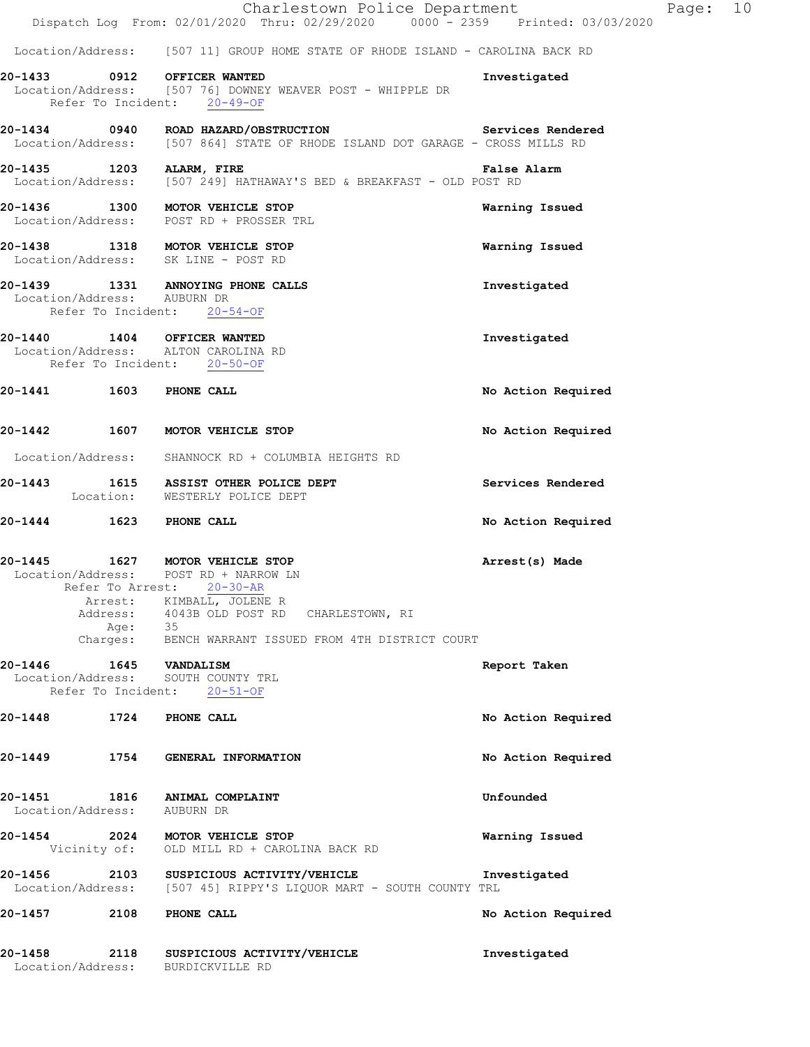|                                                                                                   | Charlestown Police Department<br>Dispatch Log From: 02/01/2020 Thru: 02/29/2020 0000 <sup>-</sup> 2359 Printed: 03/03/2020                                    | Page: 10           |
|---------------------------------------------------------------------------------------------------|---------------------------------------------------------------------------------------------------------------------------------------------------------------|--------------------|
|                                                                                                   | Location/Address: [507 11] GROUP HOME STATE OF RHODE ISLAND - CAROLINA BACK RD                                                                                |                    |
| 20-1433 0912 OFFICER WANTED<br>Refer To Incident: 20-49-OF                                        | Location/Address: [507 76] DOWNEY WEAVER POST - WHIPPLE DR                                                                                                    | Investigated       |
|                                                                                                   | 20-1434  0940  ROAD HAZARD/OBSTRUCTION    Services Rendered<br>Location/Address: [507 864] STATE OF RHODE ISLAND DOT GARAGE - CROSS MILLS RD                  |                    |
|                                                                                                   | 20-1435 1203 ALARM, FIRE<br>Location/Address: [507 249] HATHAWAY'S BED & BREAKFAST - OLD POST RD                                                              | False Alarm        |
| 20-1436 1300 MOTOR VEHICLE STOP<br>Location/Address: POST RD + PROSSER TRL                        |                                                                                                                                                               | Warning Issued     |
| 20-1438 1318 MOTOR VEHICLE STOP<br>Location/Address: SK LINE - POST RD                            |                                                                                                                                                               | Warning Issued     |
| Location/Address: AUBURN DR<br>Refer To Incident: 20-54-OF                                        | 20-1439 1331 ANNOYING PHONE CALLS                                                                                                                             | Investigated       |
| 20-1440 1404 OFFICER WANTED<br>Location/Address: ALTON CAROLINA RD<br>Refer To Incident: 20-50-OF |                                                                                                                                                               | Investigated       |
| 20-1441 1603 PHONE CALL                                                                           |                                                                                                                                                               | No Action Required |
| 20-1442 1607 MOTOR VEHICLE STOP                                                                   |                                                                                                                                                               | No Action Required |
|                                                                                                   | Location/Address: SHANNOCK RD + COLUMBIA HEIGHTS RD                                                                                                           |                    |
|                                                                                                   | 20-1443 1615 ASSIST OTHER POLICE DEPT<br>Location: WESTERLY POLICE DEPT                                                                                       | Services Rendered  |
| 20-1444 1623 PHONE CALL                                                                           |                                                                                                                                                               | No Action Required |
| 20-1445<br>Location/Address: POST RD + NARROW LN<br>Refer To Arrest: 20-30-AR<br>Address:         | 1627 MOTOR VEHICLE STOP<br>Arrest: KIMBALL, JOLENE R<br>4043B OLD POST RD CHARLESTOWN, RI<br>Age: 35<br>Charges: BENCH WARRANT ISSUED FROM 4TH DISTRICT COURT | Arrest(s) Made     |
| 20-1446  1645  VANDALISM<br>Location/Address: SOUTH COUNTY TRL<br>Refer To Incident:              | $20 - 51 - OF$                                                                                                                                                | Report Taken       |
| 20-1448<br>1724 PHONE CALL                                                                        |                                                                                                                                                               | No Action Required |
| 20-1449<br>1754                                                                                   | GENERAL INFORMATION                                                                                                                                           | No Action Required |
| 20-1451<br>Location/Address: AUBURN DR                                                            | 1816 ANIMAL COMPLAINT                                                                                                                                         | Unfounded          |
| 20-1454                                                                                           | 2024 MOTOR VEHICLE STOP<br>Vicinity of: OLD MILL RD + CAROLINA BACK RD                                                                                        | Warning Issued     |
| 20-1456<br>2103                                                                                   | SUSPICIOUS ACTIVITY/VEHICLE<br>Location/Address: [507 45] RIPPY'S LIQUOR MART - SOUTH COUNTY TRL                                                              | Investigated       |
| 20-1457<br>2108                                                                                   | PHONE CALL                                                                                                                                                    | No Action Required |
| 2118<br>20-1458<br>Location/Address:                                                              | SUSPICIOUS ACTIVITY/VEHICLE<br>BURDICKVILLE RD                                                                                                                | Investigated       |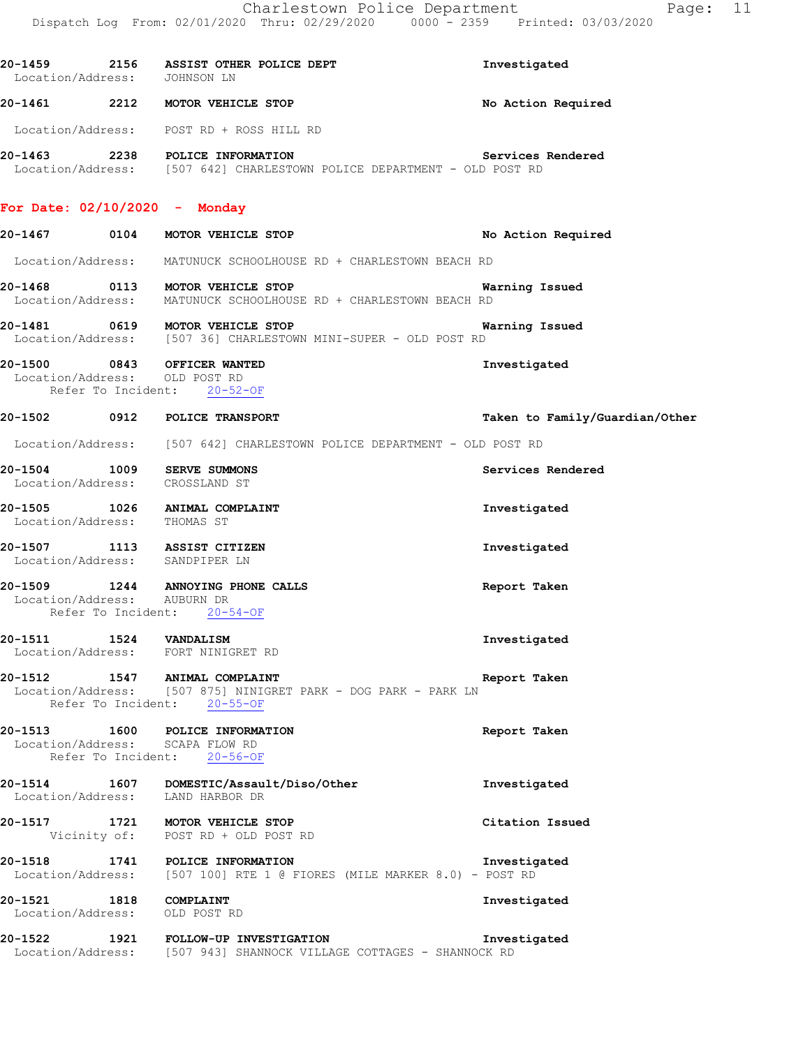|                             | 20-1459 2156 ASSIST OTHER POLICE DEPT<br>Location/Address: JOHNSON LN                                                               | Investigated                   |
|-----------------------------|-------------------------------------------------------------------------------------------------------------------------------------|--------------------------------|
|                             | 20-1461 2212 MOTOR VEHICLE STOP                                                                                                     | No Action Required             |
|                             | Location/Address: POST RD + ROSS HILL RD                                                                                            |                                |
|                             | 20-1463 2238 POLICE INFORMATION<br>Location/Address: [507 642] CHARLESTOWN POLICE DEPARTMENT - OLD POST RD                          | Services Rendered              |
|                             | For Date: $02/10/2020 -$ Monday                                                                                                     |                                |
|                             | 20-1467 0104 MOTOR VEHICLE STOP                                                                                                     | No Action Required             |
|                             | Location/Address: MATUNUCK SCHOOLHOUSE RD + CHARLESTOWN BEACH RD                                                                    |                                |
|                             | 20-1468 0113 MOTOR VEHICLE STOP WARD DOCATION/Address: MATUNUCK SCHOOLHOUSE RD + CHARLESTOWN BEACH RD                               | Warning Issued                 |
|                             |                                                                                                                                     | Warning Issued                 |
|                             | 20-1500 0843 OFFICER WANTED<br>Location/Address: OLD POST RD<br>Refer To Incident: 20-52-OF                                         | Investigated                   |
|                             | 20-1502 0912 POLICE TRANSPORT                                                                                                       | Taken to Family/Guardian/Other |
|                             | Location/Address: [507 642] CHARLESTOWN POLICE DEPARTMENT - OLD POST RD                                                             |                                |
|                             | 20-1504 1009 SERVE SUMMONS<br>Location/Address: CROSSLAND ST                                                                        | Services Rendered              |
|                             | 20-1505 1026 ANIMAL COMPLAINT<br>Location/Address: THOMAS ST                                                                        | Investigated                   |
|                             | 20-1507 1113 ASSIST CITIZEN<br>Location/Address: SANDPIPER LN                                                                       | Investigated                   |
| Location/Address: AUBURN DR | 20-1509 1244 ANNOYING PHONE CALLS<br>Refer To Incident: 20-54-OF                                                                    | Report Taken                   |
| 20-1511 1524 VANDALISM      | Location/Address: FORT NINIGRET RD                                                                                                  | Investigated                   |
|                             | 20-1512 1547 ANIMAL COMPLAINT<br>Location/Address: [507 875] NINIGRET PARK - DOG PARK - PARK LN<br>Refer To Incident: 20-55-OF      | Report Taken                   |
|                             | 20-1513 1600 POLICE INFORMATION<br>Location/Address: SCAPA FLOW RD<br>Refer To Incident: 20-56-OF                                   | Report Taken                   |
|                             | 20-1514 1607 DOMESTIC/Assault/Diso/Other<br>Location/Address: LAND HARBOR DR                                                        | Investigated                   |
|                             | 20-1517 1721 MOTOR VEHICLE STOP<br>Vicinity of: POST RD + OLD POST RD                                                               | Citation Issued                |
|                             | 20-1518 1741 POLICE INFORMATION<br>Location/Address: [507 100] RTE 1 @ FIORES (MILE MARKER 8.0) - POST RD                           | Investigated                   |
| 20-1521 1818 COMPLAINT      | Location/Address: OLD POST RD                                                                                                       | Investigated                   |
| 20-1522                     | 1921 FOLLOW-UP INVESTIGATION TOUR INVESTIGATION THE READER OF LOCATION AND MASS . [507 943] SHANNOCK VILLAGE COTTAGES - SHANNOCK RD | Investigated                   |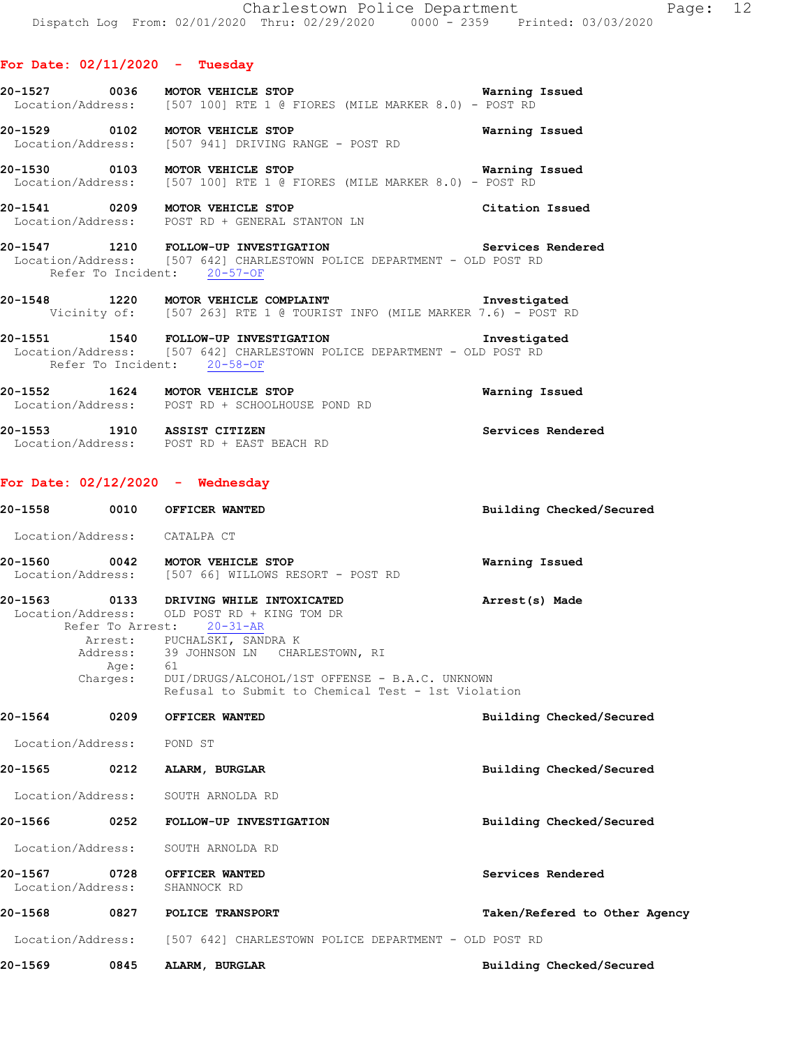| 20-1527 | 0036              | MOTOR VEHICLE STOP |  |  |                                                        |  |  |  | Warning Issued |
|---------|-------------------|--------------------|--|--|--------------------------------------------------------|--|--|--|----------------|
|         | Location/Address: |                    |  |  | $1507$ 1001 RTE 1 @ FIORES (MILE MARKER 8.0) - POST RD |  |  |  |                |
|         |                   |                    |  |  |                                                        |  |  |  |                |

**20-1529 0102 MOTOR VEHICLE STOP Warning Issued**  Location/Address: [507 941] DRIVING RANGE - POST RD

**20-1530 0103 MOTOR VEHICLE STOP Warning Issued**  Location/Address: [507 100] RTE 1 @ FIORES (MILE MARKER 8.0) - POST RD

**20-1541 0209 MOTOR VEHICLE STOP Citation Issued**  Location/Address: POST RD + GENERAL STANTON LN

**20-1547 1210 FOLLOW-UP INVESTIGATION Services Rendered**  Location/Address: [507 642] CHARLESTOWN POLICE DEPARTMENT - OLD POST RD Refer To Incident: 20-57-OF

**20-1548 1220 MOTOR VEHICLE COMPLAINT Investigated**  Vicinity of: [507 263] RTE 1 @ TOURIST INFO (MILE MARKER 7.6) - POST RD

**20-1551 1540 FOLLOW-UP INVESTIGATION Investigated**  Location/Address: [507 642] CHARLESTOWN POLICE DEPARTMENT - OLD POST RD Refer To Incident: 20-58-OF

**20-1552 1624 MOTOR VEHICLE STOP WARE WARNING ISSUED WARNING ISSUED WARNING ISSUED WARNING ISSUED WARNING ISSUED** POST RD + SCHOOLHOUSE POND RD

**20-1553 1910 ASSIST CITIZEN Services Rendered**  Location/Address: POST RD + EAST BEACH RD

#### **For Date: 02/12/2020 - Wednesday**

**20-1558 0010 OFFICER WANTED Building Checked/Secured**  Location/Address: CATALPA CT **20-1560 0042 MOTOR VEHICLE STOP Warning Issued**  Location/Address: [507 66] WILLOWS RESORT - POST RD **20-1563 0133 DRIVING WHILE INTOXICATED Arrest(s) Made**  Location/Address: OLD POST RD + KING TOM DR Refer To Arrest: 20-31-AR Arrest: PUCHALSKI, SANDRA K<br>Address: 39 JOHNSON LN CHAR 39 JOHNSON LN CHARLESTOWN, RI Age: 61 Charges: DUI/DRUGS/ALCOHOL/1ST OFFENSE - B.A.C. UNKNOWN Refusal to Submit to Chemical Test - 1st Violation **20-1564 0209 OFFICER WANTED Building Checked/Secured**  Location/Address: POND ST **20-1565 0212 ALARM, BURGLAR Building Checked/Secured**  Location/Address: SOUTH ARNOLDA RD **20-1566 0252 FOLLOW-UP INVESTIGATION Building Checked/Secured**  Location/Address: SOUTH ARNOLDA RD **20-1567 0728 OFFICER WANTED Services Rendered**  Location/Address: **20-1568 0827 POLICE TRANSPORT Taken/Refered to Other Agency** Location/Address: [507 642] CHARLESTOWN POLICE DEPARTMENT - OLD POST RD **20-1569 0845 ALARM, BURGLAR Building Checked/Secured**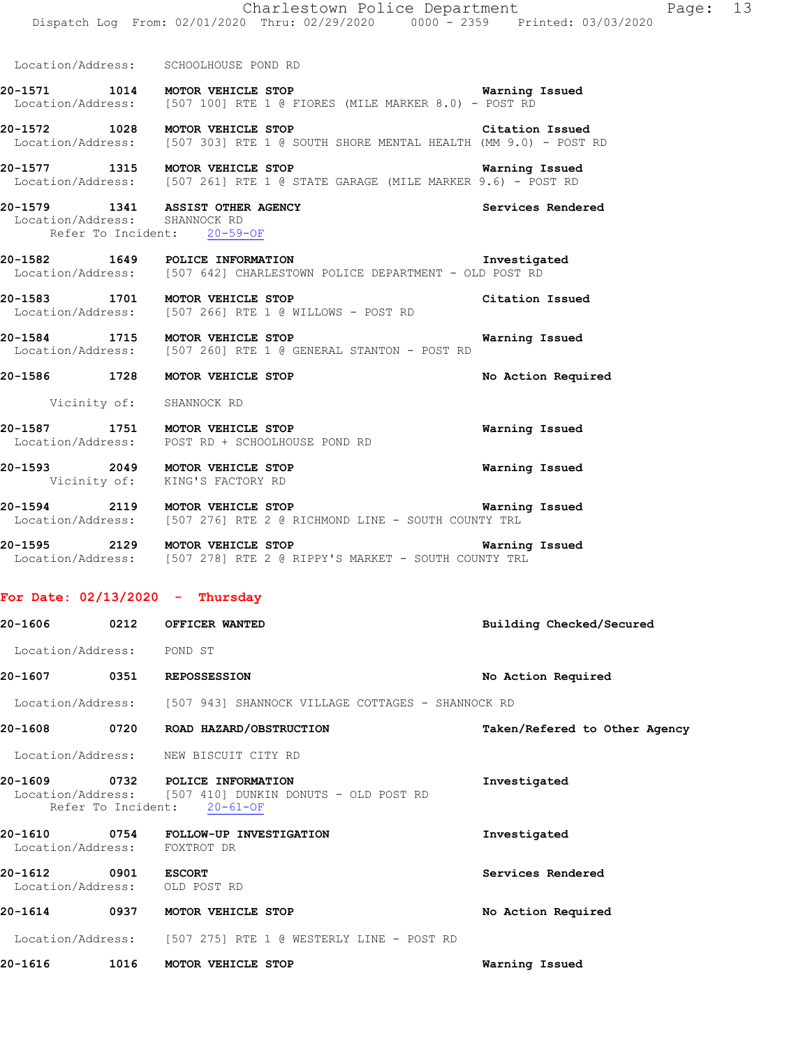|                                                                 |      | Charlestown Police Department<br>Dispatch Log From: 02/01/2020 Thru: 02/29/2020 0000 - 2359 Printed: 03/03/2020                       | Page: 13                      |
|-----------------------------------------------------------------|------|---------------------------------------------------------------------------------------------------------------------------------------|-------------------------------|
|                                                                 |      | Location/Address: SCHOOLHOUSE POND RD                                                                                                 |                               |
|                                                                 |      | 20-1571 1014 MOTOR VEHICLE STOP 100 Warning Issued<br>Location/Address: [507 100] RTE 1 @ FIORES (MILE MARKER 8.0) - POST RD          |                               |
|                                                                 |      | 20-1572 1028 MOTOR VEHICLE STOP Citation Issued<br>Location/Address: [507 303] RTE 1 @ SOUTH SHORE MENTAL HEALTH (MM 9.0) - POST RD   |                               |
|                                                                 |      | <b>20-1577</b> 1315 MOTOR VEHICLE STOP Warning Issued<br>Location/Address: [507 261] RTE 1 @ STATE GARAGE (MILE MARKER 9.6) - POST RD | Warning Issued                |
|                                                                 |      | 20-1579 1341 ASSIST OTHER AGENCY<br>Location/Address: SHANNOCK RD<br>Refer To Incident: 20-59-OF                                      | Services Rendered             |
|                                                                 |      | Location/Address: [507 642] CHARLESTOWN POLICE DEPARTMENT - OLD POST RD                                                               |                               |
|                                                                 |      | 20-1583 1701 MOTOR VEHICLE STOP<br>Location/Address: [507 266] RTE 1 @ WILLOWS - POST RD                                              | Citation Issued               |
|                                                                 |      | 20-1584 1715 MOTOR VEHICLE STOP<br>Location/Address: [507 260] RTE 1 @ GENERAL STANTON - POST RD                                      | Warning Issued                |
|                                                                 |      | 20-1586 1728 MOTOR VEHICLE STOP                                                                                                       | No Action Required            |
|                                                                 |      | Vicinity of: SHANNOCK RD                                                                                                              |                               |
|                                                                 |      | 20-1587 1751 MOTOR VEHICLE STOP<br>Location/Address: POST RD + SCHOOLHOUSE POND RD                                                    | Warning Issued                |
|                                                                 |      | 20-1593 2049 MOTOR VEHICLE STOP<br>Vicinity of: KING'S FACTORY RD                                                                     | Warning Issued                |
|                                                                 |      | 20-1594 2119 MOTOR VEHICLE STOP<br>Location/Address: [507 276] RTE 2 @ RICHMOND LINE - SOUTH COUNTY TRL                               | Warning Issued                |
|                                                                 |      | 20-1595 2129 MOTOR VEHICLE STOP NOTOR VEHICLE STOP<br>Location/Address: [507 278] RTE 2 @ RIPPY'S MARKET - SOUTH COUNTY TRL           |                               |
| For Date: $02/13/2020$ - Thursday                               |      |                                                                                                                                       |                               |
| 20-1606                                                         |      | 0212 OFFICER WANTED                                                                                                                   | Building Checked/Secured      |
| Location/Address: POND ST                                       |      |                                                                                                                                       |                               |
| 20-1607 0351 REPOSSESSION                                       |      |                                                                                                                                       | No Action Required            |
|                                                                 |      | Location/Address: [507 943] SHANNOCK VILLAGE COTTAGES - SHANNOCK RD                                                                   |                               |
| 20-1608                                                         |      | 0720 ROAD HAZARD/OBSTRUCTION                                                                                                          | Taken/Refered to Other Agency |
| Location/Address:                                               |      | NEW BISCUIT CITY RD                                                                                                                   |                               |
|                                                                 |      | 20-1609 0732 POLICE INFORMATION<br>Location/Address: [507 410] DUNKIN DONUTS - OLD POST RD<br>Refer To Incident: 20-61-OF             | Investigated                  |
| 20-1610 0754<br>Location/Address: FOXTROT DR                    |      | FOLLOW-UP INVESTIGATION                                                                                                               | Investigated                  |
| 20-1612<br>20-1612 0901 ESCORT<br>Location/Address: OLD POST RD |      |                                                                                                                                       | Services Rendered             |
|                                                                 |      | 20-1614 0937 MOTOR VEHICLE STOP                                                                                                       | No Action Required            |
|                                                                 |      | Location/Address: [507 275] RTE 1 @ WESTERLY LINE - POST RD                                                                           |                               |
| 20-1616                                                         | 1016 | MOTOR VEHICLE STOP                                                                                                                    | Warning Issued                |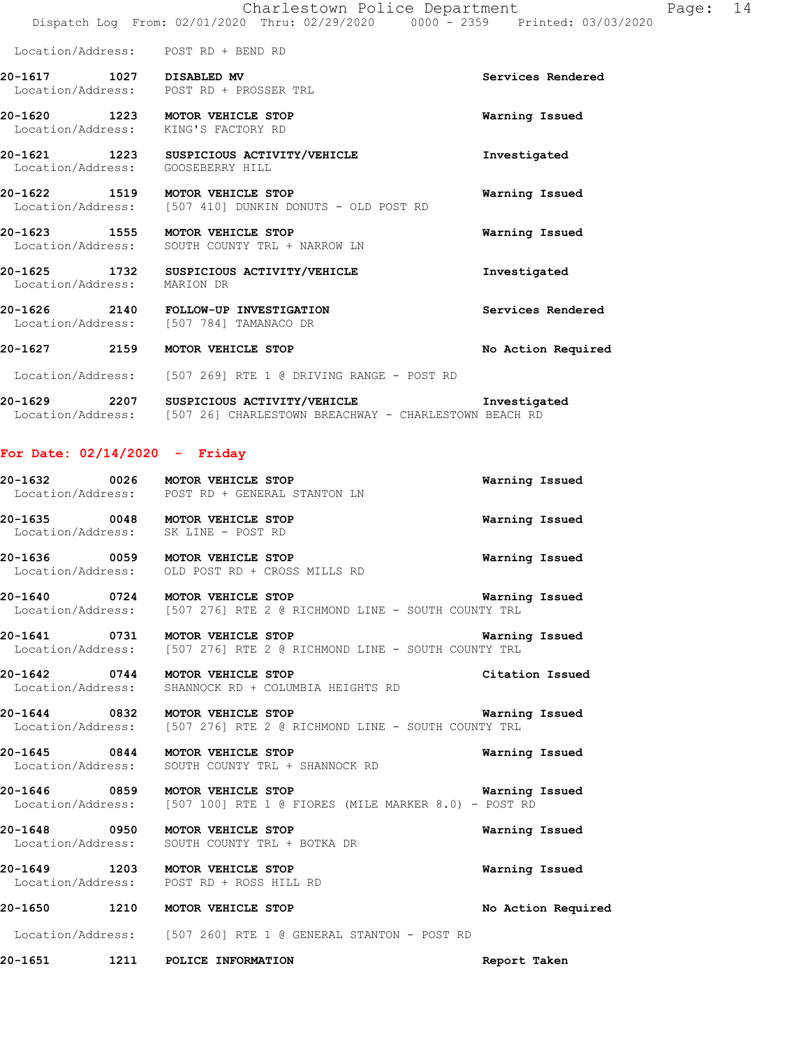**20-1617 1027 DISABLED MV Services Rendered**  Location/Address: POST RD + PROSSER TRL

**20-1620 1223 MOTOR VEHICLE STOP Warning Issued**  Location/Address: KING'S FACTORY RD

**20-1621 1223 SUSPICIOUS ACTIVITY/VEHICLE Investigated**  Location/Address: GOOSEBERRY HILL

**20-1622 1519 MOTOR VEHICLE STOP WARE WARNING ISSUED WARE WARE ISSUED WARNING ISSUED**<br>
Location/Address: [507 410] DUNKIN DONUTS - OLD POST RD [507 410] DUNKIN DONUTS - OLD POST RD

**20-1623 1555 MOTOR VEHICLE STOP Warning Issued**  Location/Address: SOUTH COUNTY TRL + NARROW LN

**20-1625 1732 SUSPICIOUS ACTIVITY/VEHICLE Investigated**  Location/Address: MARION DR

**20-1626 2140 FOLLOW-UP INVESTIGATION Services Rendered**  Location/Address: [507 784] TAMANACO DR

**20-1627 2159 MOTOR VEHICLE STOP No Action Required** 

Location/Address: [507 269] RTE 1 @ DRIVING RANGE - POST RD

**20-1629 2207 SUSPICIOUS ACTIVITY/VEHICLE Investigated**  Location/Address: [507 26] CHARLESTOWN BREACHWAY - CHARLESTOWN BEACH RD

#### **For Date: 02/14/2020 - Friday**

**20-1632 0026 MOTOR VEHICLE STOP Warning Issued**  Location/Address: POST RD + GENERAL STANTON LN **20-1635 0048 MOTOR VEHICLE STOP Warning Issued**  Location/Address: SK LINE - POST RD **20-1636 0059 MOTOR VEHICLE STOP Warning Issued**  Location/Address: OLD POST RD + CROSS MILLS RD **20-1640 0724 MOTOR VEHICLE STOP Warning Issued**  [507 276] RTE 2 @ RICHMOND LINE - SOUTH COUNTY TRL **20-1641 0731 MOTOR VEHICLE STOP Warning Issued**  Location/Address: [507 276] RTE 2 @ RICHMOND LINE - SOUTH COUNTY TRL **20-1642 0744 MOTOR VEHICLE STOP Citation Issued**  Location/Address: SHANNOCK RD + COLUMBIA HEIGHTS RD **20-1644 0832 MOTOR VEHICLE STOP Warning Issued**  Location/Address: [507 276] RTE 2 @ RICHMOND LINE - SOUTH COUNTY TRL

**20-1645 0844 MOTOR VEHICLE STOP Warning Issued**  Location/Address: SOUTH COUNTY TRL + SHANNOCK RD

**20-1646 0859 MOTOR VEHICLE STOP Warning Issued**  Location/Address: [507 100] RTE 1 @ FIORES (MILE MARKER 8.0) - POST RD

**20-1648 0950 MOTOR VEHICLE STOP Warning Issued**  Location/Address: SOUTH COUNTY TRL + BOTKA DR

**20-1649 1203 MOTOR VEHICLE STOP Warning Issued**  Location/Address: POST RD + ROSS HILL RD

**20-1650 1210 MOTOR VEHICLE STOP No Action Required** 

Location/Address: [507 260] RTE 1 @ GENERAL STANTON - POST RD

**20-1651 1211 POLICE INFORMATION Report Taken**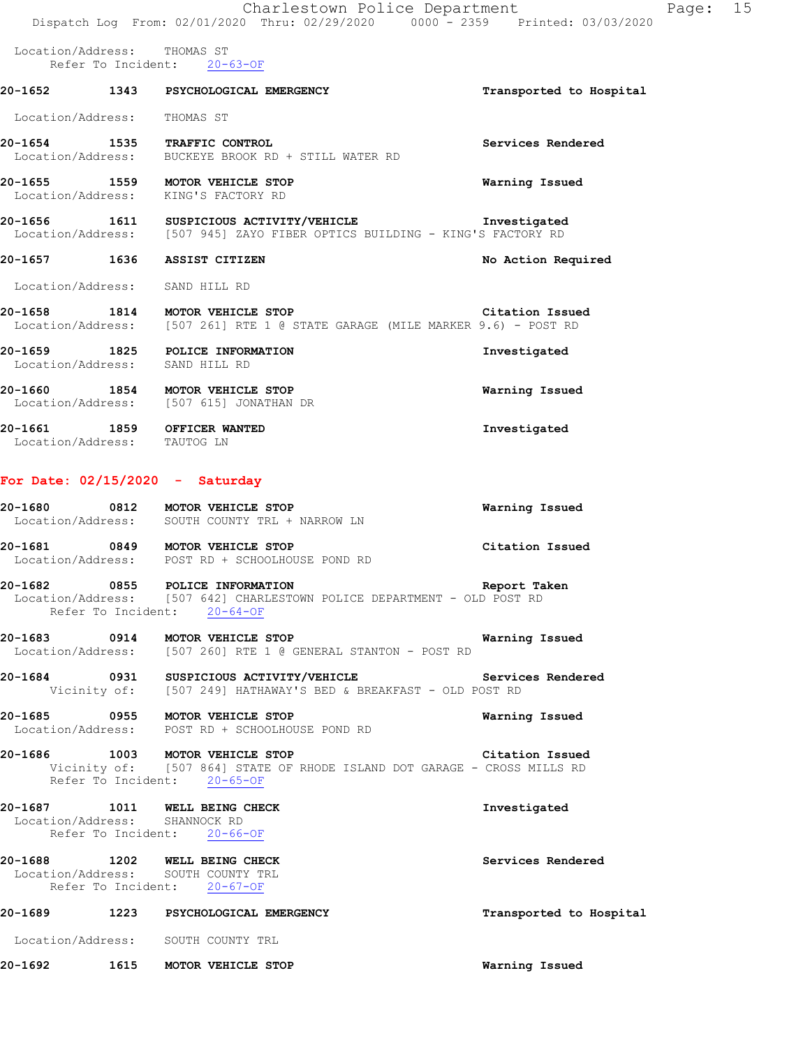|                                   | Charlestown Police Department<br>Dispatch Log From: 02/01/2020 Thru: 02/29/2020 0000 - 2359 Printed: 03/03/2020                            |                         | Page: 15 |  |
|-----------------------------------|--------------------------------------------------------------------------------------------------------------------------------------------|-------------------------|----------|--|
| Location/Address: THOMAS ST       | Refer To Incident: 20-63-OF                                                                                                                |                         |          |  |
|                                   | 20-1652 1343 PSYCHOLOGICAL EMERGENCY                                                                                                       | Transported to Hospital |          |  |
| Location/Address: THOMAS ST       |                                                                                                                                            |                         |          |  |
|                                   | 20-1654 1535 TRAFFIC CONTROL<br>Location/Address: BUCKEYE BROOK RD + STILL WATER RD                                                        | Services Rendered       |          |  |
|                                   | 20-1655 1559 MOTOR VEHICLE STOP<br>Location/Address: KING'S FACTORY RD                                                                     | Warning Issued          |          |  |
|                                   | 20-1656 1611 SUSPICIOUS ACTIVITY/VEHICLE <b>Investigated</b><br>Location/Address: [507 945] ZAYO FIBER OPTICS BUILDING - KING'S FACTORY RD |                         |          |  |
|                                   | 20-1657 1636 ASSIST CITIZEN                                                                                                                | No Action Required      |          |  |
| Location/Address: SAND HILL RD    |                                                                                                                                            |                         |          |  |
|                                   | 20-1658 1814 MOTOR VEHICLE STOP<br>Location/Address: [507 261] RTE 1 @ STATE GARAGE (MILE MARKER 9.6) - POST RD                            | Citation Issued         |          |  |
| Location/Address: SAND HILL RD    | 20-1659 1825 POLICE INFORMATION                                                                                                            | Investigated            |          |  |
|                                   | 20-1660 1854 MOTOR VEHICLE STOP<br>Location/Address: [507 615] JONATHAN DR                                                                 | Warning Issued          |          |  |
| Location/Address: TAUTOG LN       | 20-1661 1859 OFFICER WANTED                                                                                                                | Investigated            |          |  |
| For Date: $02/15/2020 -$ Saturday |                                                                                                                                            |                         |          |  |
|                                   | 20-1680 0812 MOTOR VEHICLE STOP<br>Location/Address: SOUTH COUNTY TRL + NARROW LN                                                          | Warning Issued          |          |  |
|                                   | 20-1681 0849 MOTOR VEHICLE STOP<br>Location/Address: POST RD + SCHOOLHOUSE POND RD                                                         | Citation Issued         |          |  |
| 20-1682                           | 0855 POLICE INFORMATION<br>Location/Address: [507 642] CHARLESTOWN POLICE DEPARTMENT - OLD POST RD<br>Refer To Incident: 20-64-OF          | Report Taken            |          |  |
|                                   | 20-1683 0914 MOTOR VEHICLE STOP<br>Location/Address: [507 260] RTE 1 @ GENERAL STANTON - POST RD                                           | Warning Issued          |          |  |
|                                   | 20-1684 		 0931 SUSPICIOUS ACTIVITY/VEHICLE 		 Services Rendered<br>Vicinity of: [507 249] HATHAWAY'S BED & BREAKFAST - OLD POST RD        |                         |          |  |
|                                   | 20-1685 0955 MOTOR VEHICLE STOP<br>Location/Address: POST RD + SCHOOLHOUSE POND RD                                                         | Warning Issued          |          |  |
|                                   | 20-1686 1003 MOTOR VEHICLE STOP<br>Vicinity of: [507 864] STATE OF RHODE ISLAND DOT GARAGE - CROSS MILLS RD<br>Refer To Incident: 20-65-OF | Citation Issued         |          |  |
| Location/Address: SHANNOCK RD     | 20-1687 1011 WELL BEING CHECK<br>Refer To Incident: 20-66-OF                                                                               | Investigated            |          |  |
|                                   | 20-1688 1202 WELL BEING CHECK<br>Location/Address: SOUTH COUNTY TRL<br>Refer To Incident: 20-67-OF                                         | Services Rendered       |          |  |
|                                   |                                                                                                                                            | Transported to Hospital |          |  |
|                                   | Location/Address: SOUTH COUNTY TRL                                                                                                         |                         |          |  |
|                                   | 20-1692 1615 MOTOR VEHICLE STOP                                                                                                            | Warning Issued          |          |  |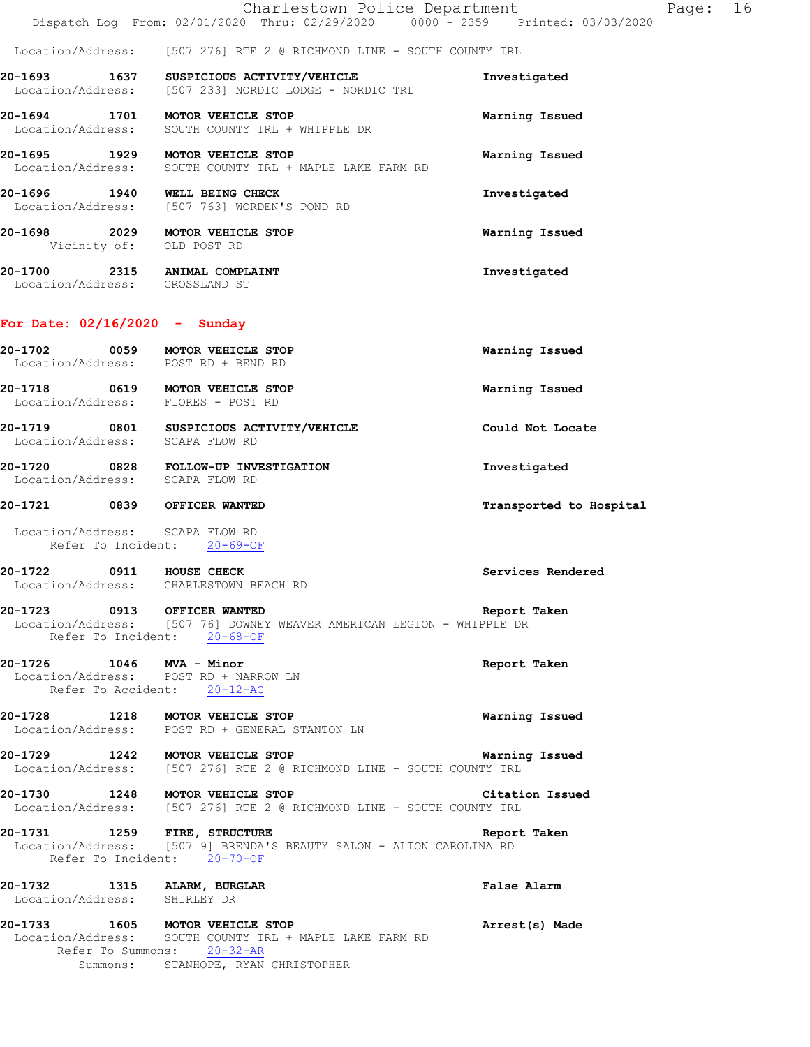Location/Address: [507 276] RTE 2 @ RICHMOND LINE - SOUTH COUNTY TRL

**20-1693 1637 SUSPICIOUS ACTIVITY/VEHICLE Investigated**  Location/Address: [507 233] NORDIC LODGE - NORDIC TRL

**20-1694 1701 MOTOR VEHICLE STOP Warning Issued**  Location/Address: SOUTH COUNTY TRL + WHIPPLE DR

**20-1695 1929 MOTOR VEHICLE STOP Warning Issued**  Location/Address: SOUTH COUNTY TRL + MAPLE LAKE FARM RD

**20-1696 1940 WELL BEING CHECK 1940 Investigated** Location/Address: [507 763] WORDEN'S POND RD [507 763] WORDEN'S POND RD

**20-1698 2029 MOTOR VEHICLE STOP Warning Issued**  Vicinity of: OLD POST RD

**20-1700 2315 ANIMAL COMPLAINT Investigated**  Location/Address: CROSSLAND ST

#### **For Date: 02/16/2020 - Sunday**

**20-1702 0059 MOTOR VEHICLE STOP Warning Issued**  Location/Address: POST RD + BEND RD **20-1718 0619 MOTOR VEHICLE STOP Warning Issued**  Location/Address: FIORES - POST RD **20-1719 0801 SUSPICIOUS ACTIVITY/VEHICLE Could Not Locate**  Location/Address: SCAPA FLOW RD **20-1720 0828 FOLLOW-UP INVESTIGATION Investigated** 

Location/Address: SCAPA FLOW RD

#### **20-1721 0839 OFFICER WANTED Transported to Hospital**

 Location/Address: SCAPA FLOW RD Refer To Incident: 20-69-OF

**20-1722 0911 HOUSE CHECK Services Rendered**  Location/Address: CHARLESTOWN BEACH RD

### **20-1723 0913 OFFICER WANTED Report Taken**

## Location/Address: [507 76] DOWNEY WEAVER AMERICAN LEGION - WHIPPLE DR Refer To Incident: 20-68-OF

### **20-1726 1046 MVA - Minor Report Taken**

## Location/Address: POST RD + NARROW LN Refer To Accident: 20-12-AC

**20-1728 1218 MOTOR VEHICLE STOP Warning Issued**  Location/Address: POST RD + GENERAL STANTON LN

**20-1729 1242 MOTOR VEHICLE STOP Warning Issued**  Location/Address: [507 276] RTE 2 @ RICHMOND LINE - SOUTH COUNTY TRL

**20-1730 1248 MOTOR VEHICLE STOP Citation Issued**  Location/Address: [507 276] RTE 2 @ RICHMOND LINE - SOUTH COUNTY TRL

**20-1731 1259 FIRE, STRUCTURE Report Taken**  Location/Address: [507 9] BRENDA'S BEAUTY SALON - ALTON CAROLINA RD Refer To Incident: 20-70-OF

**20-1732 1315 ALARM, BURGLAR False Alarm**  Location/Address: SHIRLEY DR

**20-1733 1605 MOTOR VEHICLE STOP Arrest(s) Made**  Location/Address: SOUTH COUNTY TRL + MAPLE LAKE FARM RD Refer To Summons: 20-32-AR Summons: STANHOPE, RYAN CHRISTOPHER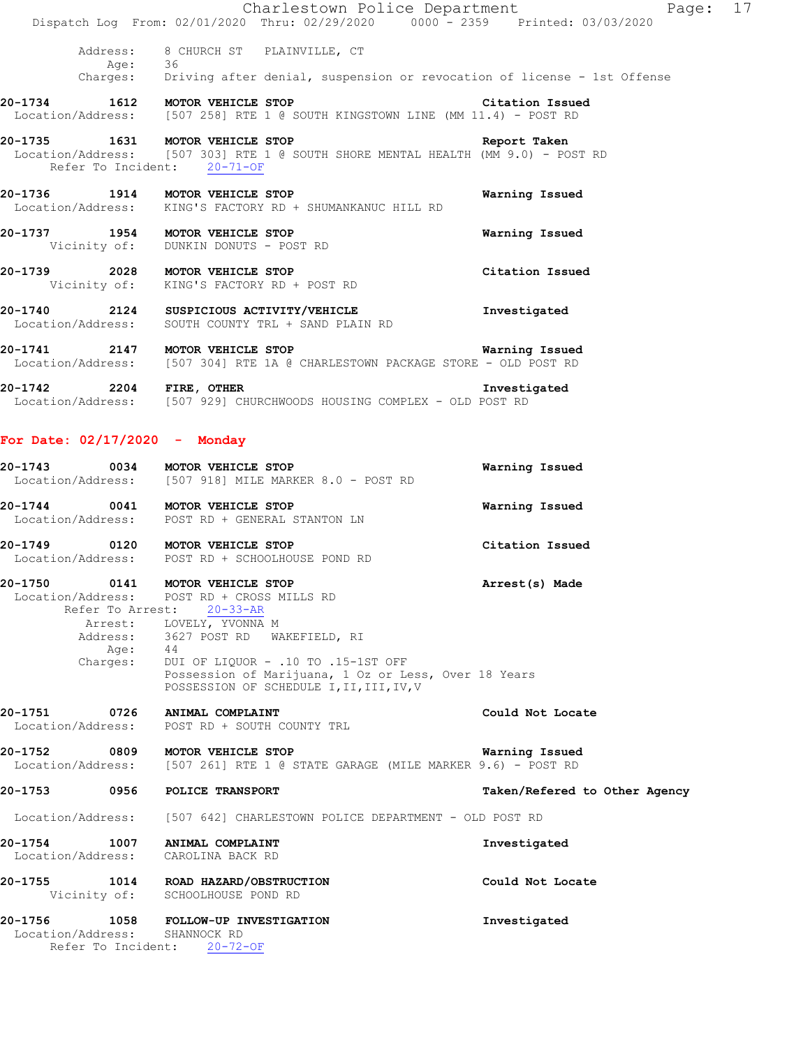|                                 | Charlestown Police Department<br>Dispatch Log From: 02/01/2020 Thru: 02/29/2020 0000 - 2359 Printed: 03/03/2020                            | Page: 17        |  |
|---------------------------------|--------------------------------------------------------------------------------------------------------------------------------------------|-----------------|--|
| Aqe:                            | Address: 8 CHURCH ST PLAINVILLE, CT<br>36                                                                                                  |                 |  |
|                                 | Charges: Driving after denial, suspension or revocation of license - 1st Offense                                                           |                 |  |
|                                 | 20-1734 1612 MOTOR VEHICLE STOP<br>Location/Address: [507 258] RTE 1 @ SOUTH KINGSTOWN LINE (MM 11.4) - POST RD                            | Citation Issued |  |
| 20-1735 1631 MOTOR VEHICLE STOP | Location/Address: [507 303] RTE 1 @ SOUTH SHORE MENTAL HEALTH (MM 9.0) - POST RD<br>Refer To Incident: 20-71-OF                            | Report Taken    |  |
|                                 | 20-1736 1914 MOTOR VEHICLE STOP<br>Location/Address: KING'S FACTORY RD + SHUMANKANUC HILL RD                                               | Warning Issued  |  |
| 20-1737 1954 MOTOR VEHICLE STOP | Vicinity of: DUNKIN DONUTS - POST RD                                                                                                       | Warning Issued  |  |
| 20-1739 2028 MOTOR VEHICLE STOP | Vicinity of: KING'S FACTORY RD + POST RD                                                                                                   | Citation Issued |  |
|                                 | 20-1740 2124 SUSPICIOUS ACTIVITY/VEHICLE<br>Location/Address: SOUTH COUNTY TRL + SAND PLAIN RD                                             | Investigated    |  |
|                                 | 20-1741 2147 MOTOR VEHICLE STOP <b>STOP</b> Warning Issued<br>Location/Address: [507 304] RTE 1A @ CHARLESTOWN PACKAGE STORE - OLD POST RD |                 |  |
|                                 | 20-1742 2204 FIRE, OTHER<br>Location/Address: [507 929] CHURCHWOODS HOUSING COMPLEX - OLD POST RD                                          | Investigated    |  |

| 20-1743           | 0034 | MOTOR VEHICLE STOP                  | Warning Issued |
|-------------------|------|-------------------------------------|----------------|
| Location/Address: |      | [507 918] MILE MARKER 8.0 - POST RD |                |
| 20-1744           | 0041 | MOTOR VEHICLE STOP                  | Warning Issued |

| 20-1749           | 0120 | MOTOR VEHICLE STOP            | Citation Issued |
|-------------------|------|-------------------------------|-----------------|
| Location/Address: |      | POST RD + SCHOOLHOUSE POND RD |                 |

**20-1750 0141 MOTOR VEHICLE STOP Arrest(s) Made**  Location/Address: POST RD + CROSS MILLS RD Refer To Arrest: 20-33-AR Arrest: LOVELY, YVONNA M Address: 3627 POST RD WAKEFIELD, RI Age: 44 Charges: DUI OF LIQUOR - .10 TO .15-1ST OFF Possession of Marijuana, 1 Oz or Less, Over 18 Years POSSESSION OF SCHEDULE I, II, III, IV, V

**20-1751 0726 ANIMAL COMPLAINT Could Not Locate**  Location/Address: POST RD + SOUTH COUNTY TRL

**20-1752 0809 MOTOR VEHICLE STOP Warning Issued**  Location/Address: [507 261] RTE 1 @ STATE GARAGE (MILE MARKER 9.6) - POST RD

**20-1753 0956 POLICE TRANSPORT Taken/Refered to Other Agency**

Location/Address: [507 642] CHARLESTOWN POLICE DEPARTMENT - OLD POST RD

**20-1754 1007 ANIMAL COMPLAINT Investigated**  Location/Address: CAROLINA BACK RD **20-1755 1014 ROAD HAZARD/OBSTRUCTION Could Not Locate** 

 Vicinity of: SCHOOLHOUSE POND RD **20-1756 1058 FOLLOW-UP INVESTIGATION Investigated**  Location/Address: SHANNOCK RD

Location/Address: POST RD + GENERAL STANTON LN

Refer To Incident: 20-72-OF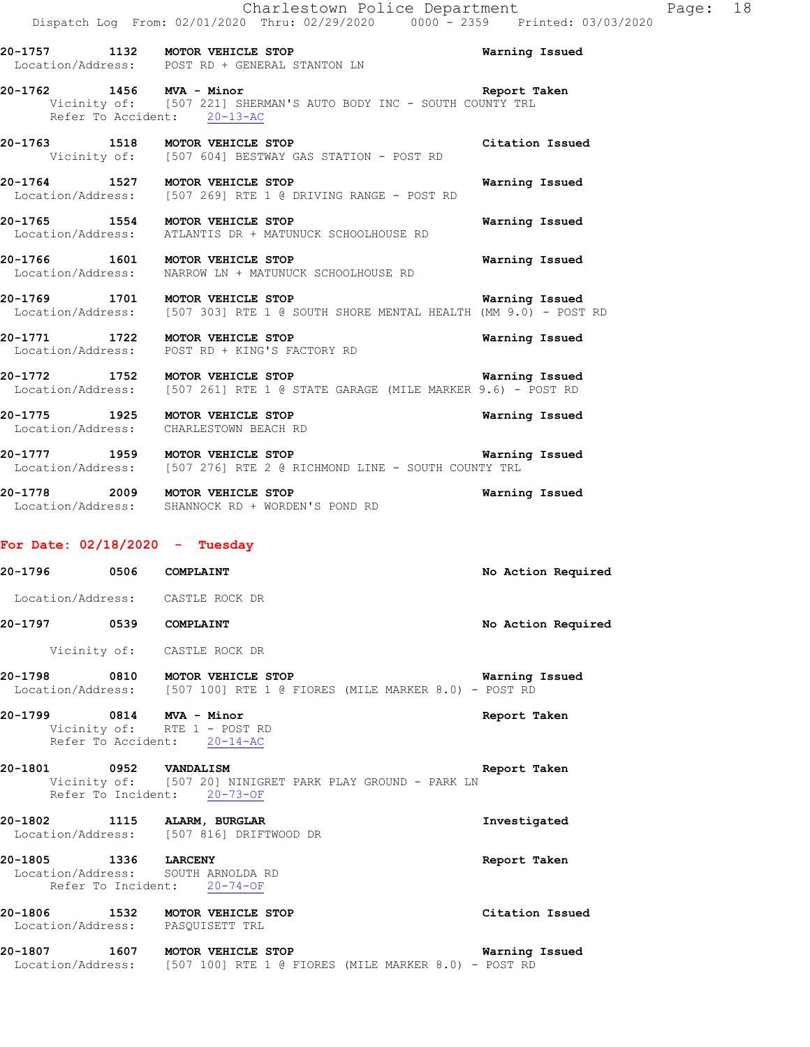| 20-1757           | 1132 | MOTOR VEHICLE STOP           | Warning Issued |
|-------------------|------|------------------------------|----------------|
| Location/Address: |      | POST RD + GENERAL STANTON LN |                |

### **20-1762 1456 MVA - Minor Report Taken**  Vicinity of: [507 221] SHERMAN'S AUTO BODY INC - SOUTH COUNTY TRL Refer To Accident: 20-13-AC

**20-1763 1518 MOTOR VEHICLE STOP Citation Issued**  Vicinity of: [507 604] BESTWAY GAS STATION - POST RD

**20-1764 1527 MOTOR VEHICLE STOP Warning Issued**  Location/Address: [507 269] RTE 1 @ DRIVING RANGE - POST RD

**20-1765 1554 MOTOR VEHICLE STOP Warning Issued**  Location/Address: ATLANTIS DR + MATUNUCK SCHOOLHOUSE RD

**20-1766 1601 MOTOR VEHICLE STOP Warning Issued**  Location/Address: NARROW LN + MATUNUCK SCHOOLHOUSE RD

**20-1769 1701 MOTOR VEHICLE STOP Warning Issued**  Location/Address: [507 303] RTE 1 @ SOUTH SHORE MENTAL HEALTH (MM 9.0) - POST RD

**20-1771 1722 MOTOR VEHICLE STOP Warning Issued**  Location/Address: POST RD + KING'S FACTORY RD

**20-1772 1752 MOTOR VEHICLE STOP WARKER 9.6) - POST RD**<br>Location/Address: [507 261] RTE 1 @ STATE GARAGE (MILE MARKER 9.6) - POST RD [507 261] RTE 1 @ STATE GARAGE (MILE MARKER 9.6) - POST RD

**20-1775 1925 MOTOR VEHICLE STOP Warning Issued**  Location/Address: CHARLESTOWN BEACH RD

**20-1777 1959 MOTOR VEHICLE STOP Warning Issued**  Location/Address: [507 276] RTE 2 @ RICHMOND LINE - SOUTH COUNTY TRL

**20-1778 2009 MOTOR VEHICLE STOP Warning Issued**  Location/Address: SHANNOCK RD + WORDEN'S POND RD

### **For Date: 02/18/2020 - Tuesday**

| 20-1796 0506 COMPLAINT |                                                                                                           | No Action Required    |
|------------------------|-----------------------------------------------------------------------------------------------------------|-----------------------|
|                        | Location/Address: CASTLE ROCK DR                                                                          |                       |
| 20-1797 0539 COMPLAINT |                                                                                                           | No Action Required    |
|                        | Vicinity of: CASTLE ROCK DR                                                                               |                       |
|                        | 20-1798 0810 MOTOR VEHICLE STOP<br>Location/Address: [507 100] RTE 1 @ FIORES (MILE MARKER 8.0) - POST RD | <b>Warning Issued</b> |
|                        | 20-1799 0814 MVA - Minor<br>Vicinity of: RTE 1 - POST RD<br>Refer To Accident: 20-14-AC                   | Report Taken          |
| 20-1801 0952 VANDALISM | Vicinity of: [507 20] NINIGRET PARK PLAY GROUND - PARK LN<br>Refer To Incident: 20-73-OF                  | Report Taken          |
|                        | 20-1802 1115 ALARM, BURGLAR<br>Location/Address: [507 816] DRIFTWOOD DR                                   | Investigated          |
| 20-1805 1336 LARCENY   | Location/Address: SOUTH ARNOLDA RD<br>Refer To Incident: 20-74-OF                                         | Report Taken          |
|                        | 20-1806 1532 MOTOR VEHICLE STOP<br>Location/Address: PASQUISETT TRL                                       | Citation Issued       |
| Location/Address:      | 20-1807 1607 MOTOR VEHICLE STOP<br>[507 100] RTE 1 @ FIORES (MILE MARKER 8.0) - POST RD                   | Warning Issued        |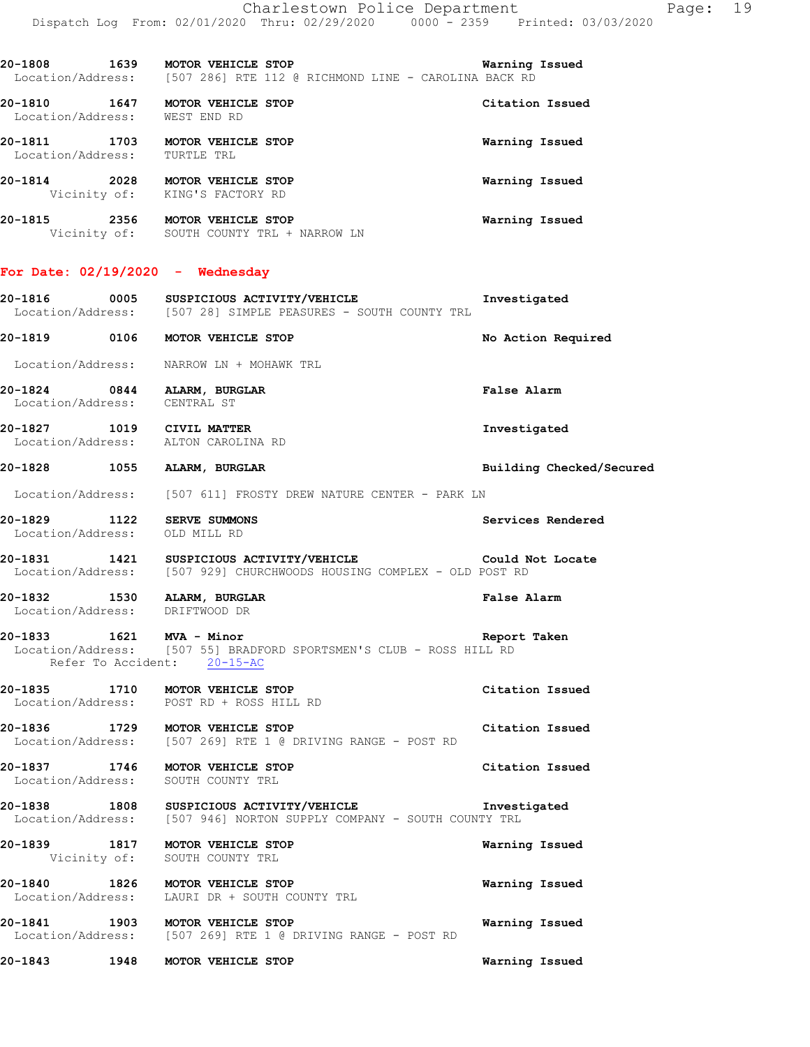|                                                                       | 20-1808 1639 MOTOR VEHICLE STOP Warning<br>Location/Address: [507 286] RTE 112 @ RICHMOND LINE - CAROLINA BACK RD | Warning Issued           |
|-----------------------------------------------------------------------|-------------------------------------------------------------------------------------------------------------------|--------------------------|
| 20-1810 1647 MOTOR VEHICLE STOP<br>Location/Address: WEST END RD      |                                                                                                                   | Citation Issued          |
| 20-1811 1703 MOTOR VEHICLE STOP<br>Location/Address: TURTLE TRL       |                                                                                                                   | Warning Issued           |
| 20-1814 2028 MOTOR VEHICLE STOP<br>Vicinity of: KING'S FACTORY RD     |                                                                                                                   | Warning Issued           |
|                                                                       | 20-1815 2356 MOTOR VEHICLE STOP<br>Vicinity of: SOUTH COUNTY TRL + NARROW LN                                      | Warning Issued           |
| For Date: $02/19/2020 -$ Wednesday                                    |                                                                                                                   |                          |
|                                                                       | Location/Address: [507 28] SIMPLE PEASURES - SOUTH COUNTY TRL                                                     |                          |
| 20-1819 0106 MOTOR VEHICLE STOP                                       |                                                                                                                   | No Action Required       |
|                                                                       | Location/Address: NARROW LN + MOHAWK TRL                                                                          |                          |
| 20-1824 0844 ALARM, BURGLAR<br>Location/Address: CENTRAL ST           |                                                                                                                   | False Alarm              |
| 20-1827 1019 CIVIL MATTER<br>Location/Address: ALTON CAROLINA RD      |                                                                                                                   | Investigated             |
| 20-1828 1055 ALARM, BURGLAR                                           |                                                                                                                   | Building Checked/Secured |
|                                                                       | Location/Address: [507 611] FROSTY DREW NATURE CENTER - PARK LN                                                   |                          |
| 20-1829 1122 SERVE SUMMONS<br>Location/Address: OLD MILL RD           |                                                                                                                   | Services Rendered        |
|                                                                       | 20-1831 1421 SUSPICIOUS ACTIVITY/VEHICLE<br>Location/Address: [507 929] CHURCHWOODS HOUSING COMPLEX - OLD POST RD | Could Not Locate         |
| 20-1832 1530 ALARM, BURGLAR<br>Location/Address: DRIFTWOOD DR         |                                                                                                                   | False Alarm              |
| 1621 MVA - Minor<br>20-1833<br>Refer To Accident: 20-15-AC            | Location/Address: [507 55] BRADFORD SPORTSMEN'S CLUB - ROSS HILL RD                                               | Report Taken             |
| 20-1835 1710 MOTOR VEHICLE STOP                                       | Location/Address: POST RD + ROSS HILL RD                                                                          | Citation Issued          |
| 20-1836 1729 MOTOR VEHICLE STOP                                       | Location/Address: [507 269] RTE 1 @ DRIVING RANGE - POST RD                                                       | Citation Issued          |
| 20-1837 1746 MOTOR VEHICLE STOP<br>Location/Address: SOUTH COUNTY TRL |                                                                                                                   | Citation Issued          |
|                                                                       | 20-1838 1808 SUSPICIOUS ACTIVITY/VEHICLE<br>Location/Address: [507 946] NORTON SUPPLY COMPANY - SOUTH COUNTY TRL  | Investigated             |
| 20-1839 1817 MOTOR VEHICLE STOP                                       | Vicinity of: SOUTH COUNTY TRL                                                                                     | Warning Issued           |
| 20-1840                                                               | 1826 MOTOR VEHICLE STOP<br>Location/Address: LAURI DR + SOUTH COUNTY TRL                                          | Warning Issued           |
| 20-1841 1903 MOTOR VEHICLE STOP                                       | Location/Address: [507 269] RTE 1 @ DRIVING RANGE - POST RD                                                       | Warning Issued           |
| 20-1843                                                               | 1948 MOTOR VEHICLE STOP                                                                                           | Warning Issued           |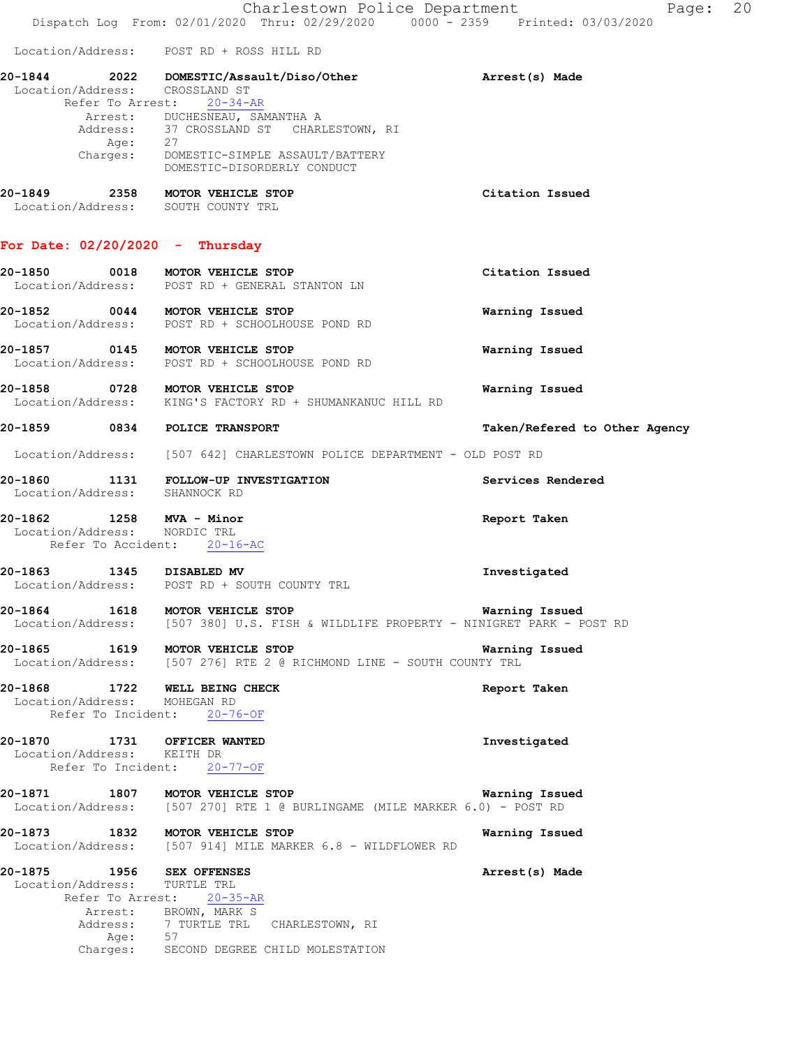Charlestown Police Department The Page: 20 Dispatch Log From: 02/01/2020 Thru: 02/29/2020 0000 - 2359 Printed: 03/03/2020 Location/Address: POST RD + ROSS HILL RD **20-1844 2022 DOMESTIC/Assault/Diso/Other Arrest(s) Made**  Location/Address: CROSSLAND ST Refer To Arrest: 20-34-AR Arrest: DUCHESNEAU, SAMANTHA A Address: 37 CROSSLAND ST CHARLESTOWN, RI Age: 27 Charges: DOMESTIC-SIMPLE ASSAULT/BATTERY DOMESTIC-DISORDERLY CONDUCT **20-1849 2358 MOTOR VEHICLE STOP Citation Issued**  Location/Address: SOUTH COUNTY TRL **For Date: 02/20/2020 - Thursday 20-1850 0018 MOTOR VEHICLE STOP Citation Issued**  Location/Address: POST RD + GENERAL STANTON LN **20-1852 0044 MOTOR VEHICLE STOP Warning Issued**  Location/Address: POST RD + SCHOOLHOUSE POND RD **20-1857 0145 MOTOR VEHICLE STOP Warning Issued**  Location/Address: POST RD + SCHOOLHOUSE POND RD **20-1858 0728 MOTOR VEHICLE STOP Warning Issued**  Location/Address: KING'S FACTORY RD + SHUMANKANUC HILL RD **20-1859 0834 POLICE TRANSPORT Taken/Refered to Other Agency** Location/Address: [507 642] CHARLESTOWN POLICE DEPARTMENT - OLD POST RD **20-1860 1131 FOLLOW-UP INVESTIGATION Services Rendered**  Location/Address: SHANNOCK RD **20-1862 1258 MVA - Minor Report Taken**  Location/Address: NORDIC TRL Refer To Accident: 20-16-AC **20-1863 1345 DISABLED MV Investigated**  POST RD + SOUTH COUNTY TRL **20-1864 1618 MOTOR VEHICLE STOP Warning Issued**  Location/Address: [507 380] U.S. FISH & WILDLIFE PROPERTY - NINIGRET PARK - POST RD **20-1865 1619 MOTOR VEHICLE STOP Warning Issued**  Location/Address: [507 276] RTE 2 @ RICHMOND LINE - SOUTH COUNTY TRL **20-1868 1722 WELL BEING CHECK Report Taken**  Location/Address: MOHEGAN RD Refer To Incident: 20-76-OF **20-1870 1731 OFFICER WANTED Investigated**  Location/Address: KEITH DR Refer To Incident: 20-77-OF **20-1871 1807 MOTOR VEHICLE STOP Warning Issued**  Location/Address: [507 270] RTE 1 @ BURLINGAME (MILE MARKER 6.0) - POST RD **20-1873 1832 MOTOR VEHICLE STOP Warning Issued**  Location/Address: [507 914] MILE MARKER 6.8 - WILDFLOWER RD **20-1875 1956 SEX OFFENSES Arrest(s) Made**  Location/Address: TURTLE TRL Refer To Arrest: 20-35-AR Arrest: BROWN, MARK S<br>Address: 7 TURTLE TRL 7 TURTLE TRL CHARLESTOWN, RI Age: 57<br>Charges: SEC SECOND DEGREE CHILD MOLESTATION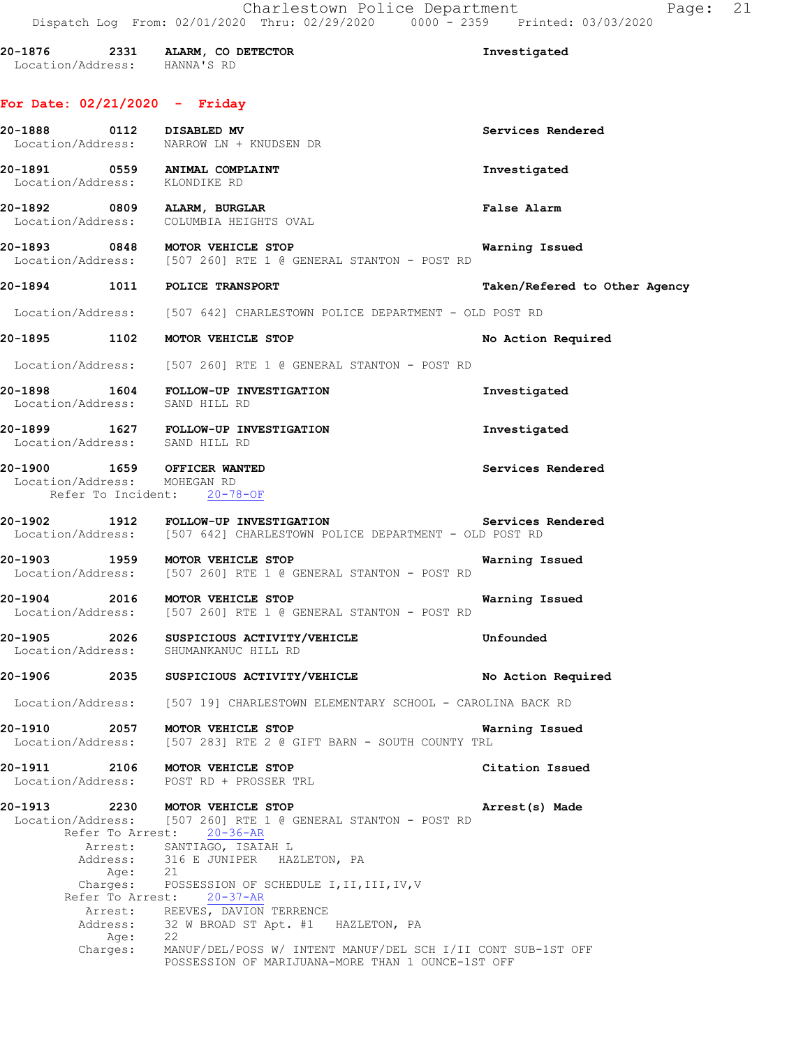| 20-1876           | 2331 | ALARM, CO DETECTOR | Investigated |
|-------------------|------|--------------------|--------------|
| Location/Address: |      | HANNA'S RD         |              |

## **For Date: 02/21/2020 - Friday**

| 20-1888 0112 DISABLED MV      |                              | Location/Address: NARROW LN + KNUDSEN DR                                                                                           | Services Rendered             |
|-------------------------------|------------------------------|------------------------------------------------------------------------------------------------------------------------------------|-------------------------------|
| Location/Address: KLONDIKE RD |                              | 20-1891 0559 ANIMAL COMPLAINT                                                                                                      | Investigated                  |
|                               |                              | 20-1892 0809 ALARM, BURGLAR<br>Location/Address: COLUMBIA HEIGHTS OVAL                                                             | <b>False Alarm</b>            |
|                               |                              | 0848 MOTOR VEHICLE STOP DERECTOR VERSION ON A LOCATION/Address: [507 260] RTE 1 @ GENERAL STANTON - POST RD                        | <b>Warning Issued</b>         |
|                               |                              | 20-1894 1011 POLICE TRANSPORT                                                                                                      | Taken/Refered to Other Agency |
|                               |                              | Location/Address: [507 642] CHARLESTOWN POLICE DEPARTMENT - OLD POST RD                                                            |                               |
|                               |                              | 20-1895 1102 MOTOR VEHICLE STOP                                                                                                    | No Action Required            |
|                               |                              | Location/Address: [507 260] RTE 1 @ GENERAL STANTON - POST RD                                                                      |                               |
|                               |                              | 20-1898 1604 FOLLOW-UP INVESTIGATION<br>Location/Address: SAND HILL RD                                                             | Investigated                  |
|                               |                              | 20-1899 1627 FOLLOW-UP INVESTIGATION<br>Location/Address: SAND HILL RD                                                             | Investigated                  |
|                               |                              | 20-1900 1659 OFFICER WANTED<br>Location/Address: MOHEGAN RD<br>Refer To Incident: 20-78-OF                                         | Services Rendered             |
|                               |                              | Location/Address: [507 642] CHARLESTOWN POLICE DEPARTMENT - OLD POST RD                                                            |                               |
|                               |                              | 20-1903 1959 MOTOR VEHICLE STOP<br>Location/Address: [507 260] RTE 1 @ GENERAL STANTON - POST RD                                   | Warning Issued                |
|                               |                              | <b>Warning Issued</b><br>20-1904 2016 MOTOR VEHICLE STOP<br>Location/Address: [507 260] RTE 1 @ GENERAL STANTON - POST RD          |                               |
|                               |                              | 20-1905 2026 SUSPICIOUS ACTIVITY/VEHICLE COMPUTE Unfounded<br>Location/Address: SHUMANKANUC HILL RD                                |                               |
|                               |                              | 20-1906 2035 SUSPICIOUS ACTIVITY/VEHICLE No Action Required                                                                        |                               |
|                               |                              | Location/Address: [507 19] CHARLESTOWN ELEMENTARY SCHOOL - CAROLINA BACK RD                                                        |                               |
| 20-1910 2057                  |                              | MOTOR VEHICLE STOP<br>Location/Address: [507 283] RTE 2 @ GIFT BARN - SOUTH COUNTY TRL                                             | Warning Issued                |
|                               |                              | 20-1911 2106 MOTOR VEHICLE STOP<br>Location/Address: POST RD + PROSSER TRL                                                         | Citation Issued               |
| 20-1913                       |                              | 2230 MOTOR VEHICLE STOP<br>Location/Address: [507 260] RTE 1 @ GENERAL STANTON - POST RD<br>Refer To Arrest: 20-36-AR              | Arrest(s) Made                |
|                               | Age:                         | Arrest: SANTIAGO, ISAIAH L<br>Address: 316 E JUNIPER HAZLETON, PA<br>21                                                            |                               |
|                               | Charges:<br>Refer To Arrest: | POSSESSION OF SCHEDULE I, II, III, IV, V<br>$20 - 37 - AR$                                                                         |                               |
|                               |                              | Arrest: REEVES, DAVION TERRENCE                                                                                                    |                               |
|                               |                              | Address: 32 W BROAD ST Apt. #1 HAZLETON, PA                                                                                        |                               |
|                               | Charges:                     | Age: 22<br>rges: MANUF/DEL/POSS W/ INTENT MANUF/DEL SCH I/II CONT SUB-1ST OFF<br>POSSESSION OF MARIJUANA-MORE THAN 1 OUNCE-1ST OFF |                               |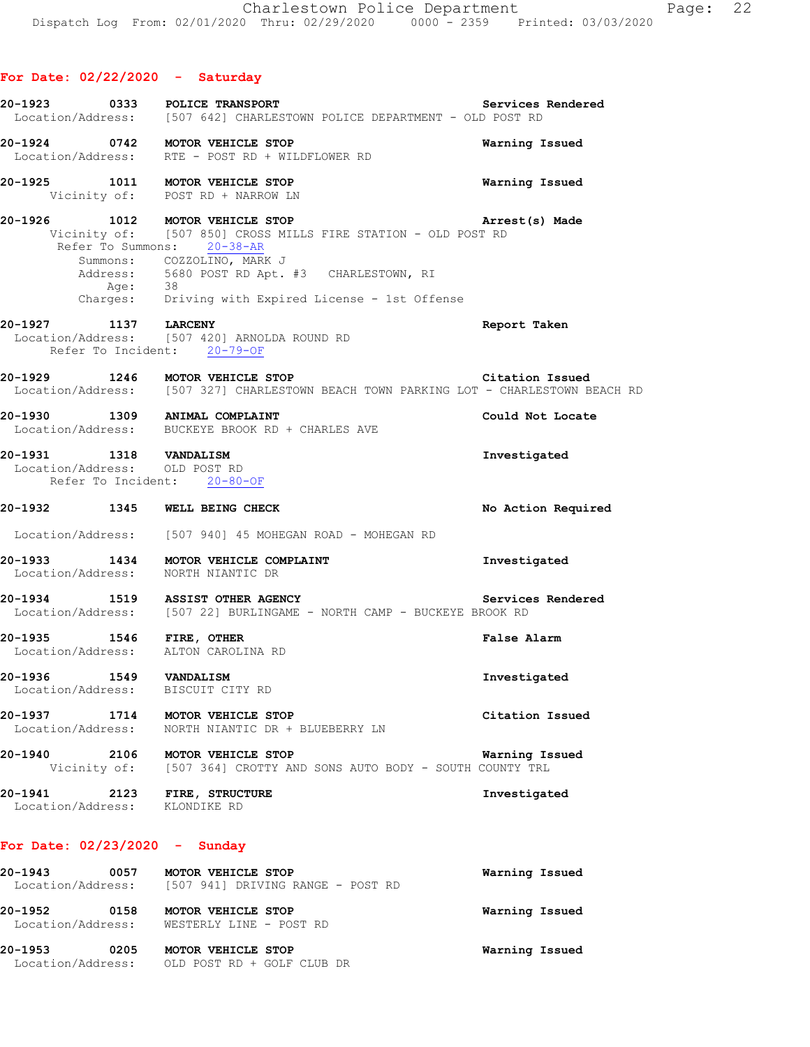## **For Date: 02/22/2020 - Saturday**

| 20-1923 0333                                                    | POLICE TRANSPORT<br>Location/Address: [507 642] CHARLESTOWN POLICE DEPARTMENT - OLD POST RD                                                                                                                                                  | Services Rendered  |
|-----------------------------------------------------------------|----------------------------------------------------------------------------------------------------------------------------------------------------------------------------------------------------------------------------------------------|--------------------|
| 20-1924 0742 MOTOR VEHICLE STOP                                 | Location/Address: RTE - POST RD + WILDFLOWER RD                                                                                                                                                                                              | Warning Issued     |
| 20-1925 1011 MOTOR VEHICLE STOP                                 | Vicinity of: POST RD + NARROW LN                                                                                                                                                                                                             | Warning Issued     |
| 20-1926 1012 MOTOR VEHICLE STOP                                 | Vicinity of: [507 850] CROSS MILLS FIRE STATION - OLD POST RD<br>Refer To Summons: 20-38-AR<br>Summons: COZZOLINO, MARK J<br>Address: 5680 POST RD Apt. #3 CHARLESTOWN, RI<br>Age: 38<br>Charges: Driving with Expired License - 1st Offense | Arrest(s) Made     |
| 20-1927 1137 LARCENY                                            | Location/Address: [507 420] ARNOLDA ROUND RD<br>Refer To Incident: 20-79-OF                                                                                                                                                                  | Report Taken       |
|                                                                 | 20-1929 1246 MOTOR VEHICLE STOP Citation Issued<br>Location/Address: [507 327] CHARLESTOWN BEACH TOWN PARKING LOT - CHARLESTOWN BEACH RD                                                                                                     |                    |
|                                                                 | 20-1930 1309 ANIMAL COMPLAINT<br>Location/Address: BUCKEYE BROOK RD + CHARLES AVE                                                                                                                                                            | Could Not Locate   |
| 20-1931 1318 VANDALISM<br>Location/Address: OLD POST RD         | Refer To Incident: 20-80-OF                                                                                                                                                                                                                  | Investigated       |
| 20-1932 1345 WELL BEING CHECK                                   |                                                                                                                                                                                                                                              | No Action Required |
|                                                                 | Location/Address: [507 940] 45 MOHEGAN ROAD - MOHEGAN RD                                                                                                                                                                                     |                    |
| Location/Address: NORTH NIANTIC DR                              | 20-1933 1434 MOTOR VEHICLE COMPLAINT                                                                                                                                                                                                         | Investigated       |
|                                                                 | 20-1934 1519 ASSIST OTHER AGENCY Service<br>Location/Address: [507 22] BURLINGAME - NORTH CAMP - BUCKEYE BROOK RD                                                                                                                            | Services Rendered  |
| 20-1935 1546 FIRE, OTHER<br>Location/Address: ALTON CAROLINA RD |                                                                                                                                                                                                                                              | False Alarm        |
| 20-1936  1549  VANDALISM<br>Location/Address: BISCUIT CITY RD   |                                                                                                                                                                                                                                              | Investigated       |
| 20-1937 1714 MOTOR VEHICLE STOP                                 | Location/Address: NORTH NIANTIC DR + BLUEBERRY LN                                                                                                                                                                                            | Citation Issued    |
| 20-1940 2106 MOTOR VEHICLE STOP                                 | Vicinity of: [507 364] CROTTY AND SONS AUTO BODY - SOUTH COUNTY TRL                                                                                                                                                                          | Warning Issued     |
| 20-1941 2123 FIRE, STRUCTURE<br>Location/Address: KLONDIKE RD   |                                                                                                                                                                                                                                              | Investigated       |
| For Date: $02/23/2020 -$ Sunday                                 |                                                                                                                                                                                                                                              |                    |
| 20-1943 0057 MOTOR VEHICLE STOP                                 | Location/Address: [507 941] DRIVING RANGE - POST RD                                                                                                                                                                                          | Warning Issued     |
| 20-1952                                                         | 0158 MOTOR VEHICLE STOP<br>Location/Address: WESTERLY LINE - POST RD                                                                                                                                                                         | Warning Issued     |

**20-1953 0205 MOTOR VEHICLE STOP Warning Issued**  Location/Address: OLD POST RD + GOLF CLUB DR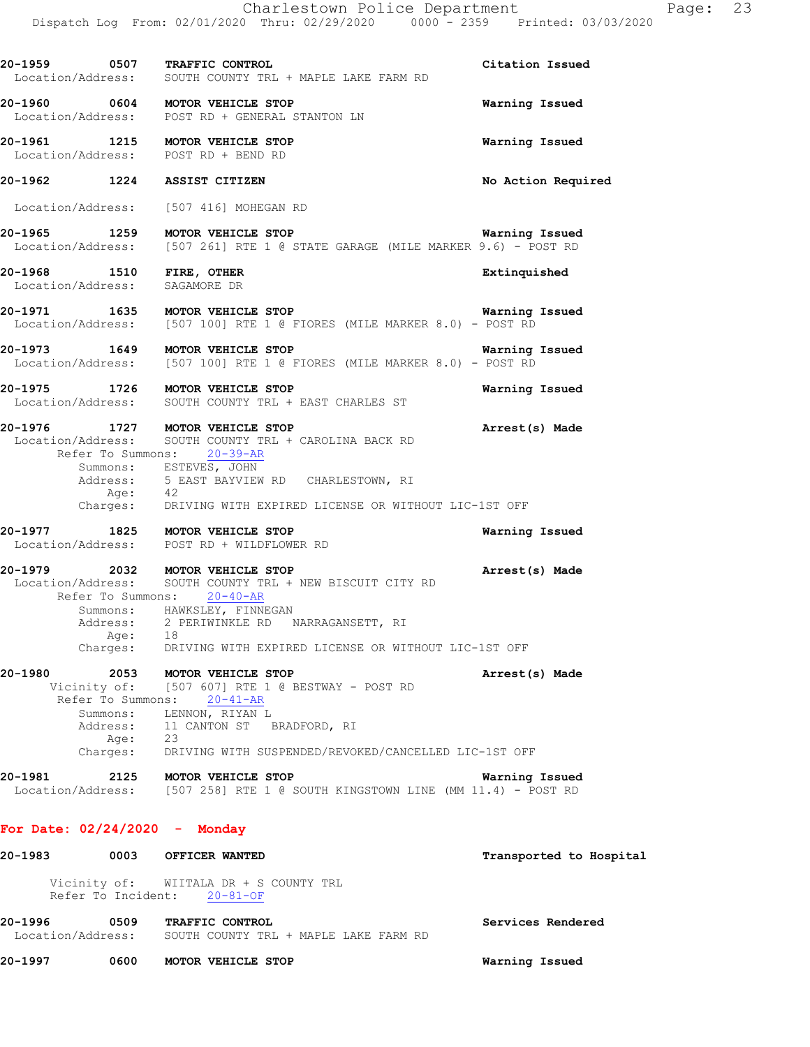|         |                    | 20-1959 0507 TRAFFIC CONTROL<br>Location/Address: SOUTH COUNTY TRL + MAPLE LAKE FARM RD                                                                                                                          | Citation Issued         |
|---------|--------------------|------------------------------------------------------------------------------------------------------------------------------------------------------------------------------------------------------------------|-------------------------|
|         |                    | 20-1960 0604 MOTOR VEHICLE STOP<br>Location/Address: POST RD + GENERAL STANTON LN                                                                                                                                | Warning Issued          |
|         |                    | 20-1961 1215 MOTOR VEHICLE STOP<br>Location/Address: POST RD + BEND RD                                                                                                                                           | Warning Issued          |
|         |                    | 20-1962 1224 ASSIST CITIZEN                                                                                                                                                                                      | No Action Required      |
|         |                    | Location/Address: [507 416] MOHEGAN RD                                                                                                                                                                           |                         |
|         |                    | <b>20-1965</b> 1259 MOTOR VEHICLE STOP MORE ARAGE (MILE MARKER 9.6) - POST RD Location/Address: [507 261] RTE 1 @ STATE GARAGE (MILE MARKER 9.6) - POST RD                                                       | Warning Issued          |
|         |                    | 20-1968 1510 FIRE, OTHER<br>Location/Address: SAGAMORE DR                                                                                                                                                        | Extinquished            |
|         |                    | 20-1971 1635 MOTOR VEHICLE STOP<br>Location/Address: [507 100] RTE 1 @ FIORES (MILE MARKER 8.0) - POST RD                                                                                                        | Warning Issued          |
|         |                    | 20-1973 1649 MOTOR VEHICLE STOP<br>Location/Address: [507 100] RTE 1 @ FIORES (MILE MARKER 8.0) - POST RD                                                                                                        | Warning Issued          |
|         |                    | 20-1975 1726 MOTOR VEHICLE STOP<br>Location/Address: SOUTH COUNTY TRL + EAST CHARLES ST                                                                                                                          | Warning Issued          |
|         |                    | 20-1976 1727 MOTOR VEHICLE STOP<br>Location/Address: SOUTH COUNTY TRL + CAROLINA BACK RD<br>Refer To Summons: 20-39-AR                                                                                           | Arrest(s) Made          |
|         |                    | Summons: ESTEVES, JOHN<br>Address: 5 EAST BAYVIEW RD CHARLESTOWN, RI                                                                                                                                             |                         |
|         | Age:               | 42<br>Charges: DRIVING WITH EXPIRED LICENSE OR WITHOUT LIC-1ST OFF                                                                                                                                               |                         |
|         |                    | 20-1977 1825 MOTOR VEHICLE STOP<br>Location/Address: POST RD + WILDFLOWER RD                                                                                                                                     | Warning Issued          |
|         |                    | 20-1979 2032 MOTOR VEHICLE STOP<br>Location/Address: SOUTH COUNTY TRL + NEW BISCUIT CITY RD<br>Refer To Summons: 20-40-AR<br>Summons: HAWKSLEY, FINNEGAN<br>Address: 2 PERIWINKLE RD NARRAGANSETT, RI<br>Age: 18 | Arrest(s) Made          |
|         |                    | Charges: DRIVING WITH EXPIRED LICENSE OR WITHOUT LIC-1ST OFF                                                                                                                                                     |                         |
| 20-1980 | Refer To Summons:  | 2053 MOTOR VEHICLE STOP<br>Vicinity of: [507 607] RTE 1 @ BESTWAY - POST RD<br>$20 - 41 - AR$<br>Summons: LENNON, RIYAN L                                                                                        | Arrest(s) Made          |
|         | Age:               | Address: 11 CANTON ST BRADFORD, RI<br>23                                                                                                                                                                         |                         |
|         | Charges:           | DRIVING WITH SUSPENDED/REVOKED/CANCELLED LIC-1ST OFF                                                                                                                                                             |                         |
| 20-1981 |                    | 2125 MOTOR VEHICLE STOP<br>Location/Address: [507 258] RTE 1 @ SOUTH KINGSTOWN LINE (MM 11.4) - POST RD                                                                                                          | Warning Issued          |
|         |                    | For Date: $02/24/2020 -$ Monday                                                                                                                                                                                  |                         |
| 20-1983 |                    | 0003 OFFICER WANTED                                                                                                                                                                                              | Transported to Hospital |
|         | Refer To Incident: | Vicinity of: WIITALA DR + S COUNTY TRL<br>$20 - 81 - OF$                                                                                                                                                         |                         |

| 20-1996           | 0509 | <b>TRAFFIC CONTROL</b>                |  |  |  | Services Rendered |  |
|-------------------|------|---------------------------------------|--|--|--|-------------------|--|
| Location/Address: |      | SOUTH COUNTY TRL + MAPLE LAKE FARM RD |  |  |  |                   |  |

**20-1997 0600 MOTOR VEHICLE STOP Warning Issued**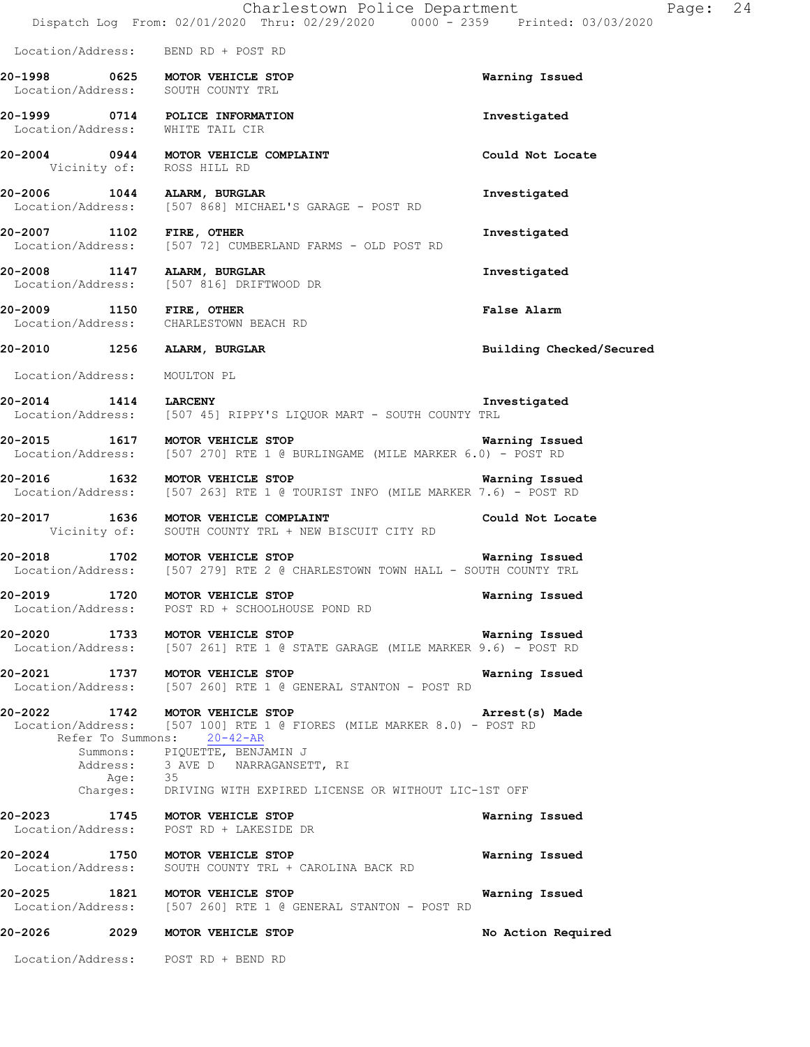|                      |                   | Charlestown Police Department<br>Dispatch Log From: 02/01/2020 Thru: 02/29/2020 0000 - 2359 Printed: 03/03/2020                                                                                                                                                                          | Page: 24                 |  |
|----------------------|-------------------|------------------------------------------------------------------------------------------------------------------------------------------------------------------------------------------------------------------------------------------------------------------------------------------|--------------------------|--|
|                      |                   | Location/Address: BEND RD + POST RD                                                                                                                                                                                                                                                      |                          |  |
|                      |                   | 20-1998 0625 MOTOR VEHICLE STOP<br>Location/Address: SOUTH COUNTY TRL                                                                                                                                                                                                                    | Warning Issued           |  |
|                      |                   | 20-1999 0714 POLICE INFORMATION<br>Location/Address: WHITE TAIL CIR                                                                                                                                                                                                                      | Investigated             |  |
|                      |                   | 20-2004 0944 MOTOR VEHICLE COMPLAINT<br>Vicinity of: ROSS HILL RD                                                                                                                                                                                                                        | Could Not Locate         |  |
|                      |                   | 20-2006 1044 ALARM, BURGLAR<br>Location/Address: [507 868] MICHAEL'S GARAGE - POST RD                                                                                                                                                                                                    | Investigated             |  |
|                      |                   | 20-2007 1102 FIRE, OTHER<br>Location/Address: [507 72] CUMBERLAND FARMS - OLD POST RD                                                                                                                                                                                                    | Investigated             |  |
|                      |                   | 20-2008 1147 ALARM, BURGLAR<br>Location/Address: [507 816] DRIFTWOOD DR                                                                                                                                                                                                                  | Investigated             |  |
|                      |                   | 20-2009 1150 FIRE, OTHER<br>Location/Address: CHARLESTOWN BEACH RD                                                                                                                                                                                                                       | <b>False Alarm</b>       |  |
|                      |                   | 20-2010 1256 ALARM, BURGLAR                                                                                                                                                                                                                                                              | Building Checked/Secured |  |
|                      |                   | Location/Address: MOULTON PL                                                                                                                                                                                                                                                             |                          |  |
| 20-2014 1414 LARCENY |                   | Location/Address: [507 45] RIPPY'S LIQUOR MART - SOUTH COUNTY TRL                                                                                                                                                                                                                        | Investigated             |  |
|                      |                   | 20-2015 1617 MOTOR VEHICLE STOP<br>Location/Address: [507 270] RTE 1 @ BURLINGAME (MILE MARKER 6.0) - POST RD                                                                                                                                                                            | Warning Issued           |  |
|                      |                   | 20-2016 1632 MOTOR VEHICLE STOP<br>Location/Address: [507 263] RTE 1 @ TOURIST INFO (MILE MARKER 7.6) - POST RD                                                                                                                                                                          | Warning Issued           |  |
|                      |                   | 20-2017 1636 MOTOR VEHICLE COMPLAINT<br>Vicinity of: SOUTH COUNTY TRL + NEW BISCUIT CITY RD                                                                                                                                                                                              | Could Not Locate         |  |
|                      |                   | 20-2018 1702 MOTOR VEHICLE STOP 120 120 Marning Issued<br>Location/Address: [507 279] RTE 2 @ CHARLESTOWN TOWN HALL - SOUTH COUNTY TRL                                                                                                                                                   |                          |  |
|                      |                   | 20-2019 1720 MOTOR VEHICLE STOP<br>Location/Address: POST RD + SCHOOLHOUSE POND RD                                                                                                                                                                                                       | Warning Issued           |  |
|                      |                   | 20-2020 1733 MOTOR VEHICLE STOP<br>Location/Address: [507 261] RTE 1 @ STATE GARAGE (MILE MARKER 9.6) - POST RD                                                                                                                                                                          | Warning Issued           |  |
|                      |                   | 20-2021 1737 MOTOR VEHICLE STOP<br>Location/Address: [507 260] RTE 1 @ GENERAL STANTON - POST RD                                                                                                                                                                                         | Warning Issued           |  |
|                      |                   | 20-2022 1742 MOTOR VEHICLE STOP<br>Location/Address: [507 100] RTE 1 @ FIORES (MILE MARKER 8.0) - POST RD<br>Refer To Summons: 20-42-AR<br>Summons: PIQUETTE, BENJAMIN J<br>Address: 3 AVE D NARRAGANSETT, RI<br>Age: 35<br>Charges: DRIVING WITH EXPIRED LICENSE OR WITHOUT LIC-1ST OFF | Arrest(s) Made           |  |
|                      |                   |                                                                                                                                                                                                                                                                                          |                          |  |
|                      |                   | 20-2023 1745 MOTOR VEHICLE STOP<br>Location/Address: POST RD + LAKESIDE DR                                                                                                                                                                                                               | Warning Issued           |  |
|                      | Location/Address: | 20-2024 1750 MOTOR VEHICLE STOP<br>SOUTH COUNTY TRL + CAROLINA BACK RD                                                                                                                                                                                                                   | Warning Issued           |  |
|                      |                   | 20-2025 1821 MOTOR VEHICLE STOP<br>Location/Address: [507 260] RTE 1 @ GENERAL STANTON - POST RD                                                                                                                                                                                         | Warning Issued           |  |
|                      |                   | 20-2026 2029 MOTOR VEHICLE STOP                                                                                                                                                                                                                                                          | No Action Required       |  |
|                      |                   | Location/Address: POST RD + BEND RD                                                                                                                                                                                                                                                      |                          |  |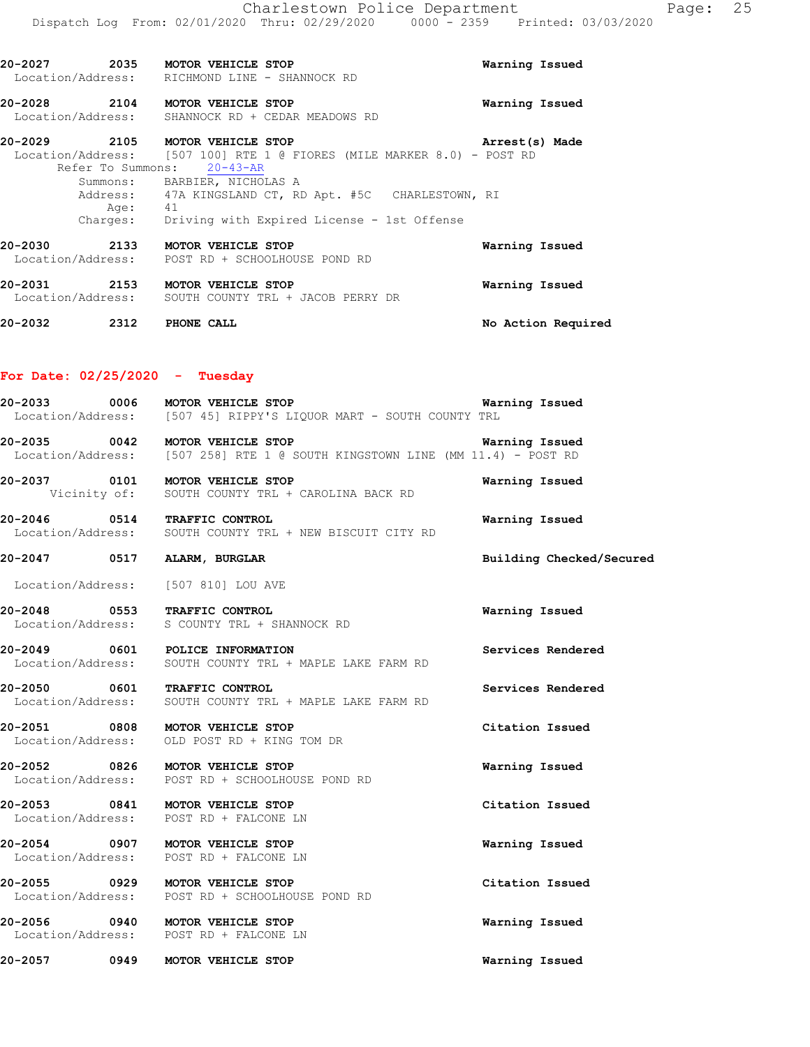| 20-2027 | 2035<br>Location/Address: | MOTOR VEHICLE STOP<br>RICHMOND LINE - SHANNOCK RD | Warning Issued |
|---------|---------------------------|---------------------------------------------------|----------------|
| 20-2028 | 2104                      | MOTOR VEHICLE STOP                                | Warning Issued |

Location/Address: SHANNOCK RD + CEDAR MEADOWS RD

**20-2029 2105 MOTOR VEHICLE STOP Arrest(s) Made**  Location/Address: [507 100] RTE 1 @ FIORES (MILE MARKER 8.0) - POST RD Refer To Summons: 20-43-AR Summons: BARBIER, NICHOLAS A Address: 47A KINGSLAND CT, RD Apt. #5C CHARLESTOWN, RI Age: 41 Charges: Driving with Expired License - 1st Offense **20-2030 2133 MOTOR VEHICLE STOP Warning Issued**  Location/Address: POST RD + SCHOOLHOUSE POND RD **20-2031 2153 MOTOR VEHICLE STOP Warning Issued**  Location/Address: SOUTH COUNTY TRL + JACOB PERRY DR

**20-2032 2312 PHONE CALL No Action Required** 

### **For Date: 02/25/2020 - Tuesday**

| 20-2033 0006 MOTOR VEHICLE STOP                                           | Location/Address: [507 45] RIPPY'S LIQUOR MART - SOUTH COUNTY TRL                          | Warning Issued           |
|---------------------------------------------------------------------------|--------------------------------------------------------------------------------------------|--------------------------|
| 20-2035 0042 MOTOR VEHICLE STOP                                           | Location/Address: [507 258] RTE 1 @ SOUTH KINGSTOWN LINE (MM 11.4) - POST RD               | Warning Issued           |
| 20-2037 0101 MOTOR VEHICLE STOP                                           | Vicinity of: SOUTH COUNTY TRL + CAROLINA BACK RD                                           | Warning Issued           |
| 20-2046 0514 TRAFFIC CONTROL                                              | Location/Address: SOUTH COUNTY TRL + NEW BISCUIT CITY RD                                   | Warning Issued           |
| 20-2047 0517 ALARM, BURGLAR                                               |                                                                                            | Building Checked/Secured |
| Location/Address: [507 810] LOU AVE                                       |                                                                                            |                          |
| 20-2048 0553 TRAFFIC CONTROL                                              | Location/Address: S COUNTY TRL + SHANNOCK RD                                               | Warning Issued           |
|                                                                           | 20-2049 0601 POLICE INFORMATION<br>Location/Address: SOUTH COUNTY TRL + MAPLE LAKE FARM RD | Services Rendered        |
| 20-2050 0601 TRAFFIC CONTROL                                              | Location/Address: SOUTH COUNTY TRL + MAPLE LAKE FARM RD                                    | Services Rendered        |
|                                                                           | 20-2051 0808 MOTOR VEHICLE STOP<br>Location/Address: OLD POST RD + KING TOM DR             | Citation Issued          |
|                                                                           | 20-2052 0826 MOTOR VEHICLE STOP<br>Location/Address: POST RD + SCHOOLHOUSE POND RD         | Warning Issued           |
| 20-2053 0841 MOTOR VEHICLE STOP<br>Location/Address: POST RD + FALCONE LN |                                                                                            | Citation Issued          |
| 20-2054 0907 MOTOR VEHICLE STOP                                           | Location/Address: POST RD + FALCONE LN                                                     | Warning Issued           |
| 20-2055 0929 MOTOR VEHICLE STOP                                           | Location/Address: POST RD + SCHOOLHOUSE POND RD                                            | Citation Issued          |
| 20-2056 0940 MOTOR VEHICLE STOP                                           | Location/Address: POST RD + FALCONE LN                                                     | Warning Issued           |
| 20-2057 0949 MOTOR VEHICLE STOP                                           |                                                                                            | Warning Issued           |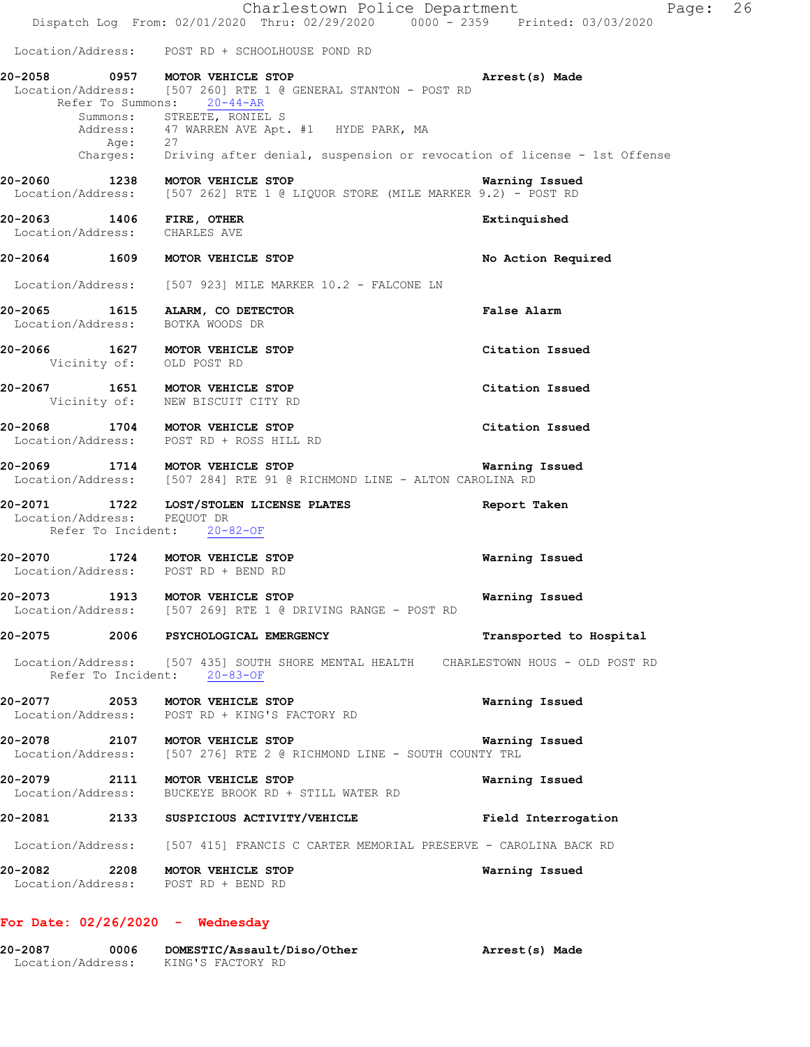|                             |      |                                                                                             | Charlestown Police Department<br>Dispatch Log From: 02/01/2020 Thru: 02/29/2020 0000 - 2359 Printed: 03/03/2020                  |                         | Page: 26 |
|-----------------------------|------|---------------------------------------------------------------------------------------------|----------------------------------------------------------------------------------------------------------------------------------|-------------------------|----------|
|                             |      |                                                                                             | Location/Address: POST RD + SCHOOLHOUSE POND RD                                                                                  |                         |          |
|                             |      | 20-2058 0957 MOTOR VEHICLE STOP<br>Refer To Summons: 20-44-AR<br>Summons: STREETE, RONIEL S | Location/Address: [507 260] RTE 1 @ GENERAL STANTON - POST RD                                                                    | Arrest(s) Made          |          |
|                             | Age: | 27                                                                                          | Address: 47 WARREN AVE Apt. #1 HYDE PARK, MA<br>Charges: Driving after denial, suspension or revocation of license - 1st Offense |                         |          |
|                             |      |                                                                                             | 20-2060 1238 MOTOR VEHICLE STOP<br>Location/Address: [507 262] RTE 1 @ LIQUOR STORE (MILE MARKER 9.2) - POST RD                  | Warning Issued          |          |
|                             |      | 20-2063 1406 FIRE, OTHER<br>Location/Address: CHARLES AVE                                   |                                                                                                                                  | Extinquished            |          |
|                             |      | 20-2064 1609 MOTOR VEHICLE STOP                                                             |                                                                                                                                  | No Action Required      |          |
|                             |      |                                                                                             | Location/Address: [507 923] MILE MARKER 10.2 - FALCONE LN                                                                        |                         |          |
| Location/Address:           |      | 20-2065 1615 ALARM, CO DETECTOR<br>BOTKA WOODS DR                                           |                                                                                                                                  | False Alarm             |          |
|                             |      | 20-2066 1627 MOTOR VEHICLE STOP<br>Vicinity of: OLD POST RD                                 |                                                                                                                                  | Citation Issued         |          |
|                             |      | 20-2067 1651 MOTOR VEHICLE STOP<br>Vicinity of: NEW BISCUIT CITY RD                         |                                                                                                                                  | Citation Issued         |          |
|                             |      | 20-2068 1704 MOTOR VEHICLE STOP<br>Location/Address: POST RD + ROSS HILL RD                 |                                                                                                                                  | Citation Issued         |          |
|                             |      | 20-2069 1714 MOTOR VEHICLE STOP                                                             | Location/Address: [507 284] RTE 91 @ RICHMOND LINE - ALTON CAROLINA RD                                                           | Warning Issued          |          |
| Location/Address: PEQUOT DR |      | Refer To Incident: 20-82-OF                                                                 | 20-2071 1722 LOST/STOLEN LICENSE PLATES                                                                                          | Report Taken            |          |
|                             |      | 20-2070 1724 MOTOR VEHICLE STOP<br>Location/Address: POST RD + BEND RD                      |                                                                                                                                  | Warning Issued          |          |
|                             |      | 20-2073 1913 MOTOR VEHICLE STOP                                                             | Location/Address: [507 269] RTE 1 @ DRIVING RANGE - POST RD                                                                      | Warning Issued          |          |
|                             |      | 20-2075 2006 PSYCHOLOGICAL EMERGENCY                                                        |                                                                                                                                  | Transported to Hospital |          |
|                             |      | Refer To Incident: 20-83-OF                                                                 | Location/Address: [507 435] SOUTH SHORE MENTAL HEALTH CHARLESTOWN HOUS - OLD POST RD                                             |                         |          |
|                             |      | 20-2077 2053 MOTOR VEHICLE STOP                                                             | Location/Address: POST RD + KING'S FACTORY RD                                                                                    | Warning Issued          |          |
|                             |      |                                                                                             | 20-2078  2107   MOTOR VEHICLE STOP<br>Location/Address: [507 276] RTE 2 @ RICHMOND LINE - SOUTH COUNTY TRL                       | Warning Issued          |          |
|                             |      | 20-2079 2111 MOTOR VEHICLE STOP                                                             | Location/Address: BUCKEYE BROOK RD + STILL WATER RD                                                                              | Warning Issued          |          |
|                             |      |                                                                                             |                                                                                                                                  |                         |          |
|                             |      |                                                                                             | Location/Address: [507 415] FRANCIS C CARTER MEMORIAL PRESERVE - CAROLINA BACK RD                                                |                         |          |
|                             |      | 20-2082 2208 MOTOR VEHICLE STOP<br>Location/Address: POST RD + BEND RD                      |                                                                                                                                  | Warning Issued          |          |
|                             |      |                                                                                             |                                                                                                                                  |                         |          |

# **For Date: 02/26/2020 - Wednesday**

| 20-2087           | 0006 | DOMESTIC/Assault/Diso/Other | Arrest(s) Made |
|-------------------|------|-----------------------------|----------------|
| Location/Address: |      | KING'S FACTORY RD           |                |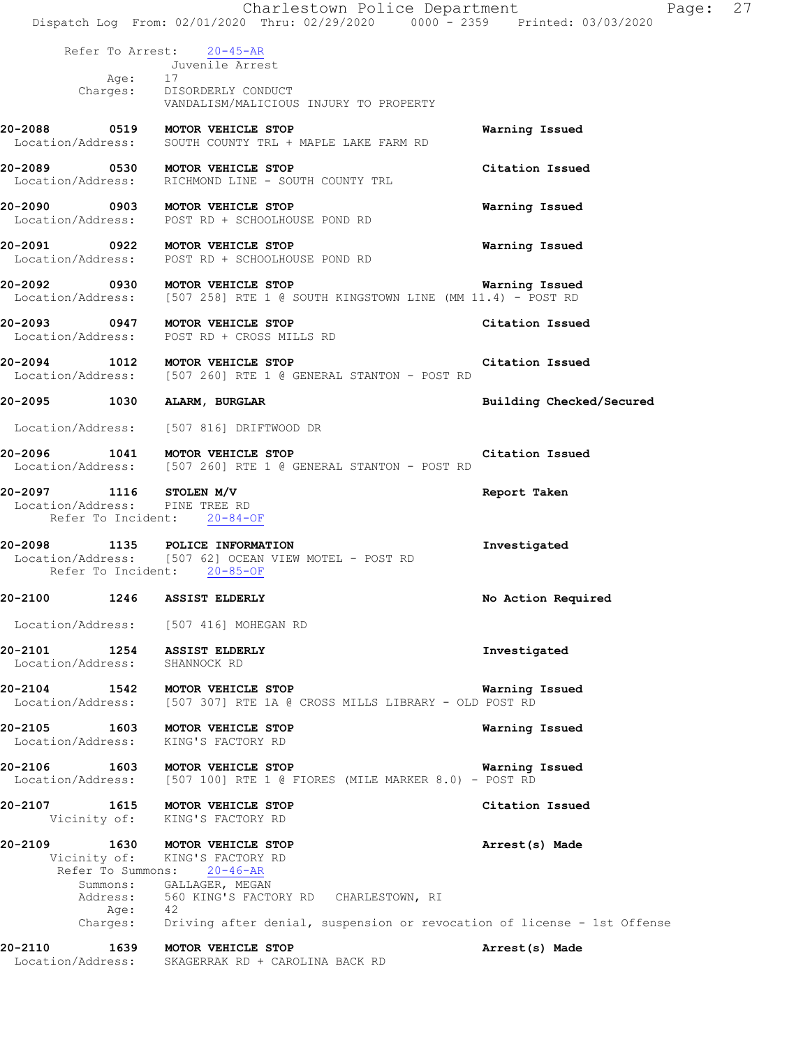|                                                                                                                 |                                                                                             | Charlestown Police Department<br>Dispatch Log From: 02/01/2020 Thru: 02/29/2020 0000 - 2359 Printed: 03/03/2020 |                |                          | Page: | 27 |
|-----------------------------------------------------------------------------------------------------------------|---------------------------------------------------------------------------------------------|-----------------------------------------------------------------------------------------------------------------|----------------|--------------------------|-------|----|
|                                                                                                                 |                                                                                             |                                                                                                                 |                |                          |       |    |
| Age:                                                                                                            | Refer To Arrest: 20-45-AR<br>Juvenile Arrest<br>17                                          |                                                                                                                 |                |                          |       |    |
|                                                                                                                 | Charges: DISORDERLY CONDUCT                                                                 | VANDALISM/MALICIOUS INJURY TO PROPERTY                                                                          |                |                          |       |    |
| 20-2088 0519 MOTOR VEHICLE STOP<br>Location/Address: SOUTH COUNTY TRL + MAPLE LAKE FARM RD                      |                                                                                             |                                                                                                                 |                | Warning Issued           |       |    |
| 20-2089 0530 MOTOR VEHICLE STOP<br>Location/Address: RICHMOND LINE - SOUTH COUNTY TRL                           |                                                                                             |                                                                                                                 |                | Citation Issued          |       |    |
| 20-2090 0903 MOTOR VEHICLE STOP<br>Location/Address: POST RD + SCHOOLHOUSE POND RD                              |                                                                                             |                                                                                                                 |                | Warning Issued           |       |    |
| 20-2091 0922 MOTOR VEHICLE STOP<br>Location/Address: POST RD + SCHOOLHOUSE POND RD                              |                                                                                             |                                                                                                                 |                | Warning Issued           |       |    |
| 20-2092 0930 MOTOR VEHICLE STOP<br>Location/Address: [507 258] RTE 1 @ SOUTH KINGSTOWN LINE (MM 11.4) - POST RD |                                                                                             |                                                                                                                 |                | Warning Issued           |       |    |
| 20-2093 0947 MOTOR VEHICLE STOP<br>Location/Address: POST RD + CROSS MILLS RD                                   |                                                                                             |                                                                                                                 |                | Citation Issued          |       |    |
| 20-2094 1012 MOTOR VEHICLE STOP<br>Location/Address: [507 260] RTE 1 @ GENERAL STANTON - POST RD                |                                                                                             |                                                                                                                 |                | Citation Issued          |       |    |
| 20-2095 1030 ALARM, BURGLAR                                                                                     |                                                                                             |                                                                                                                 |                | Building Checked/Secured |       |    |
| Location/Address: [507 816] DRIFTWOOD DR                                                                        |                                                                                             |                                                                                                                 |                |                          |       |    |
| 20-2096 1041 MOTOR VEHICLE STOP<br>Location/Address: [507 260] RTE 1 @ GENERAL STANTON - POST RD                |                                                                                             |                                                                                                                 |                | Citation Issued          |       |    |
| 20-2097 1116 STOLEN M/V<br>Location/Address: PINE TREE RD<br>Refer To Incident: 20-84-OF                        |                                                                                             |                                                                                                                 | Report Taken   |                          |       |    |
| 20-2098 1135 POLICE INFORMATION<br>Location/Address: [507 62] OCEAN VIEW MOTEL - POST RD<br>Refer To Incident:  | $20 - 85 - OF$                                                                              |                                                                                                                 | Investigated   |                          |       |    |
| 20-2100<br>1246                                                                                                 | <b>ASSIST ELDERLY</b>                                                                       |                                                                                                                 |                | No Action Required       |       |    |
| Location/Address: [507 416] MOHEGAN RD                                                                          |                                                                                             |                                                                                                                 |                |                          |       |    |
| 20-2101 1254 ASSIST ELDERLY<br>Location/Address: SHANNOCK RD                                                    |                                                                                             |                                                                                                                 | Investigated   |                          |       |    |
| 20-2104 1542 MOTOR VEHICLE STOP<br>Location/Address: [507 307] RTE 1A @ CROSS MILLS LIBRARY - OLD POST RD       |                                                                                             |                                                                                                                 | Warning Issued |                          |       |    |
| 20-2105 1603 MOTOR VEHICLE STOP<br>Location/Address:                                                            | KING'S FACTORY RD                                                                           |                                                                                                                 |                | Warning Issued           |       |    |
| 20-2106 1603 MOTOR VEHICLE STOP<br>Location/Address: [507 100] RTE 1 @ FIORES (MILE MARKER 8.0) - POST RD       |                                                                                             |                                                                                                                 | Warning Issued |                          |       |    |
| 20-2107 1615 MOTOR VEHICLE STOP                                                                                 | Vicinity of: KING'S FACTORY RD                                                              |                                                                                                                 |                | Citation Issued          |       |    |
| 20-2109<br>Refer To Summons: 20-46-AR<br>Age:                                                                   | 1630 MOTOR VEHICLE STOP<br>Vicinity of: KING'S FACTORY RD<br>Summons: GALLAGER, MEGAN<br>42 | Address: 560 KING'S FACTORY RD CHARLESTOWN, RI                                                                  |                | Arrest(s) Made           |       |    |
|                                                                                                                 |                                                                                             | Charges: Driving after denial, suspension or revocation of license - 1st Offense                                |                |                          |       |    |
| 20-2110 1639 MOTOR VEHICLE STOP<br>Location/Address: SKAGERRAK RD + CAROLINA BACK RD                            |                                                                                             |                                                                                                                 |                | Arrest(s) Made           |       |    |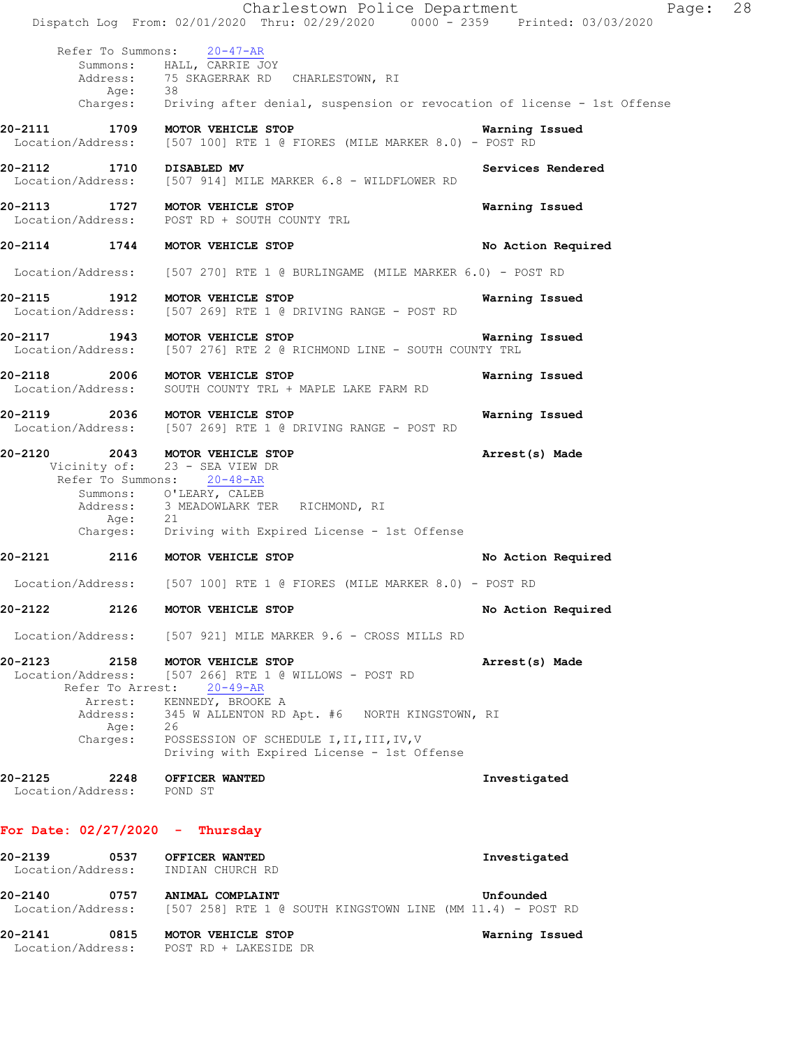Charlestown Police Department Page: 28 Dispatch Log From: 02/01/2020 Thru: 02/29/2020 0000 - 2359 Printed: 03/03/2020 Refer To Summons: 20-47-AR Summons: HALL, CARRIE JOY Address: 75 SKAGERRAK RD CHARLESTOWN, RI<br>Ade: 38 Age:<br>:Charges Driving after denial, suspension or revocation of license - 1st Offense **20-2111 1709 MOTOR VEHICLE STOP Warning Issued**  Location/Address: [507 100] RTE 1 @ FIORES (MILE MARKER 8.0) - POST RD **20-2112 1710 DISABLED MV Services Rendered 1710** DISABLED MV Services Rendered **Services Rendered** [507 914] MILE MARKER 6.8 - WILDFLOWER RD **20-2113 1727 MOTOR VEHICLE STOP Warning Issued**  Location/Address: POST RD + SOUTH COUNTY TRL **20-2114 1744 MOTOR VEHICLE STOP No Action Required**  Location/Address: [507 270] RTE 1 @ BURLINGAME (MILE MARKER 6.0) - POST RD **20-2115 1912 MOTOR VEHICLE STOP Warning Issued**  Location/Address: [507 269] RTE 1 @ DRIVING RANGE - POST RD **20-2117 1943 MOTOR VEHICLE STOP Warning Issued**  Location/Address: [507 276] RTE 2 @ RICHMOND LINE - SOUTH COUNTY TRL **20-2118 2006 MOTOR VEHICLE STOP Warning Issued**  Location/Address: SOUTH COUNTY TRL + MAPLE LAKE FARM RD **20-2119 2036 MOTOR VEHICLE STOP Warning Issued**  Location/Address: [507 269] RTE 1 @ DRIVING RANGE - POST RD **20-2120 2043 MOTOR VEHICLE STOP Arrest(s) Made**  Vicinity of: 23 - SEA VIEW DR Refer To Summons: 20-48-AR Summons: O'LEARY, CALEB Address: 3 MEADOWLARK TER RICHMOND, RI Age: 21 Charges: Driving with Expired License - 1st Offense **20-2121 2116 MOTOR VEHICLE STOP No Action Required**  Location/Address: [507 100] RTE 1 @ FIORES (MILE MARKER 8.0) - POST RD **20-2122 2126 MOTOR VEHICLE STOP No Action Required**  Location/Address: [507 921] MILE MARKER 9.6 - CROSS MILLS RD **20-2123 2158 MOTOR VEHICLE STOP Arrest(s) Made**  Location/Address: [507 266] RTE 1 @ WILLOWS - POST RD Refer To Arrest: 20-49-AR Arrest: KENNEDY, BROOKE A Address: 345 W ALLENTON RD Apt. #6 NORTH KINGSTOWN, RI Age: 26<br>Charges: POS POSSESSION OF SCHEDULE I, II, III, IV, V Driving with Expired License - 1st Offense **20-2125 2248 OFFICER WANTED Investigated**  Location/Address: POND ST **For Date: 02/27/2020 - Thursday 20-2139 0537 OFFICER WANTED Investigated**  Location/Address: INDIAN CHURCH RD **20-2140 0757 ANIMAL COMPLAINT Unfounded**  Location/Address: [507 258] RTE 1 @ SOUTH KINGSTOWN LINE (MM 11.4) - POST RD **20-2141 0815 MOTOR VEHICLE STOP Warning Issued** 

Location/Address: POST RD + LAKESIDE DR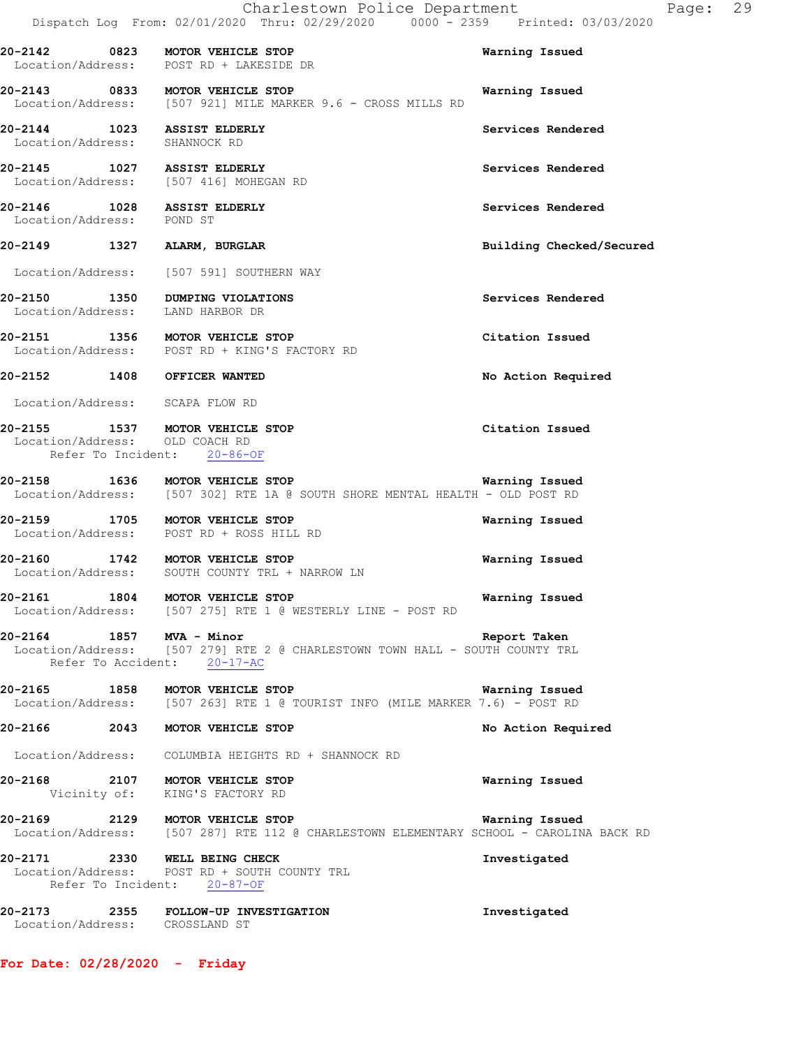|                               | Charlestown Police Department<br>Dispatch Log From: 02/01/2020 Thru: 02/29/2020 0000 - 2359 Printed: 03/03/2020                             |                          | Page: 29 |  |
|-------------------------------|---------------------------------------------------------------------------------------------------------------------------------------------|--------------------------|----------|--|
|                               | 20-2142 0823 MOTOR VEHICLE STOP<br>Location/Address: POST RD + LAKESIDE DR                                                                  | Warning Issued           |          |  |
|                               | 20-2143 0833 MOTOR VEHICLE STOP<br>Location/Address: [507 921] MILE MARKER 9.6 - CROSS MILLS RD                                             | Warning Issued           |          |  |
| Location/Address: SHANNOCK RD | 20-2144 1023 ASSIST ELDERLY                                                                                                                 | Services Rendered        |          |  |
|                               | 20-2145 1027 ASSIST ELDERLY<br>Location/Address: [507 416] MOHEGAN RD                                                                       | Services Rendered        |          |  |
| Location/Address: POND ST     | 20-2146 1028 ASSIST ELDERLY                                                                                                                 | Services Rendered        |          |  |
|                               | 20-2149 1327 ALARM, BURGLAR                                                                                                                 | Building Checked/Secured |          |  |
|                               | Location/Address: [507 591] SOUTHERN WAY                                                                                                    |                          |          |  |
|                               | 20-2150 1350 DUMPING VIOLATIONS<br>Location/Address: LAND HARBOR DR                                                                         | Services Rendered        |          |  |
|                               | 20-2151 1356 MOTOR VEHICLE STOP<br>Location/Address: POST RD + KING'S FACTORY RD                                                            | Citation Issued          |          |  |
|                               | 20-2152 1408 OFFICER WANTED                                                                                                                 | No Action Required       |          |  |
|                               | Location/Address: SCAPA FLOW RD                                                                                                             |                          |          |  |
|                               | 20-2155 1537 MOTOR VEHICLE STOP<br>Location/Address: OLD COACH RD<br>Refer To Incident: 20-86-OF                                            | Citation Issued          |          |  |
|                               | 20-2158 1636 MOTOR VEHICLE STOP<br>Location/Address: [507 302] RTE 1A @ SOUTH SHORE MENTAL HEALTH - OLD POST RD                             | Warning Issued           |          |  |
|                               | 20-2159 1705 MOTOR VEHICLE STOP<br>Location/Address: POST RD + ROSS HILL RD                                                                 | Warning Issued           |          |  |
|                               | 20-2160 1742 MOTOR VEHICLE STOP<br>Location/Address: SOUTH COUNTY TRL + NARROW LN                                                           | Warning Issued           |          |  |
| 20-2161                       | 1804 MOTOR VEHICLE STOP<br>Location/Address: [507 275] RTE 1 @ WESTERLY LINE - POST RD                                                      | Warning Issued           |          |  |
|                               | 20-2164   1857   MVA - Minor<br>Location/Address: [507 279] RTE 2 @ CHARLESTOWN TOWN HALL - SOUTH COUNTY TRL<br>Refer To Accident: 20-17-AC |                          |          |  |
|                               | 20-2165 1858 MOTOR VEHICLE STOP<br>Location/Address: [507 263] RTE 1 @ TOURIST INFO (MILE MARKER 7.6) - POST RD                             | Warning Issued           |          |  |
|                               | 20-2166 2043 MOTOR VEHICLE STOP                                                                                                             | No Action Required       |          |  |
|                               | Location/Address: COLUMBIA HEIGHTS RD + SHANNOCK RD                                                                                         |                          |          |  |
|                               | 20-2168 2107 MOTOR VEHICLE STOP<br>Vicinity of: KING'S FACTORY RD                                                                           | Warning Issued           |          |  |
|                               | 20-2169 2129 MOTOR VEHICLE STOP<br>Location/Address: [507 287] RTE 112 @ CHARLESTOWN ELEMENTARY SCHOOL - CAROLINA BACK RD                   | Warning Issued           |          |  |
|                               | 20-2171 2330 WELL BEING CHECK<br>Location/Address: POST RD + SOUTH COUNTY TRL<br>Refer To Incident: 20-87-OF                                | Investigated             |          |  |
|                               |                                                                                                                                             |                          |          |  |

**20-2173 2355 FOLLOW-UP INVESTIGATION Investigated**  Location/Address: CROSSLAND ST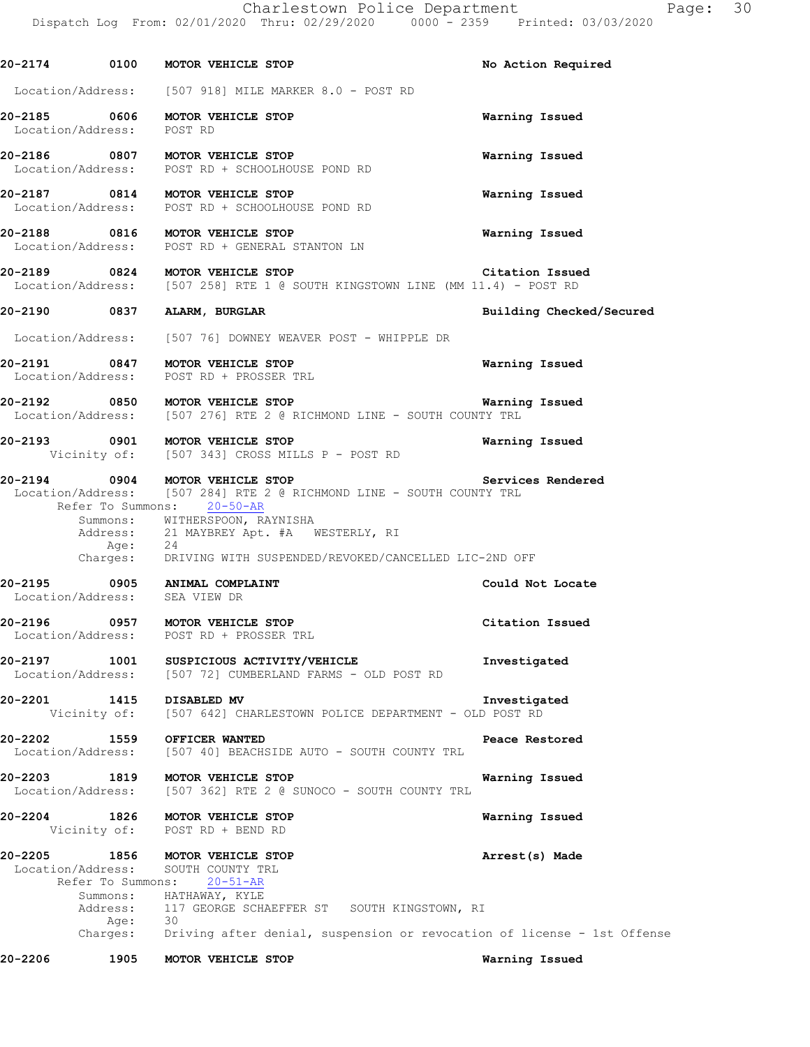**20-2174 0100 MOTOR VEHICLE STOP No Action Required**  Location/Address: [507 918] MILE MARKER 8.0 - POST RD **20-2185 0606 MOTOR VEHICLE STOP Warning Issued**  Location/Address: **20-2186 0807 MOTOR VEHICLE STOP Warning Issued**  Location/Address: POST RD + SCHOOLHOUSE POND RD **20-2187 0814 MOTOR VEHICLE STOP Warning Issued**  Location/Address: POST RD + SCHOOLHOUSE POND RD **20-2188 0816 MOTOR VEHICLE STOP Warning Issued**  Location/Address: POST RD + GENERAL STANTON LN **20-2189 0824 MOTOR VEHICLE STOP Citation Issued**  Location/Address: [507 258] RTE 1 @ SOUTH KINGSTOWN LINE (MM 11.4) - POST RD **20-2190 0837 ALARM, BURGLAR Building Checked/Secured**  Location/Address: [507 76] DOWNEY WEAVER POST - WHIPPLE DR **20-2191 0847 MOTOR VEHICLE STOP Warning Issued**  Location/Address: POST RD + PROSSER TRL **20-2192 0850 MOTOR VEHICLE STOP Warning Issued**  [507 276] RTE 2 @ RICHMOND LINE - SOUTH COUNTY TRL **20-2193 0901 MOTOR VEHICLE STOP Warning Issued**  Vicinity of: [507 343] CROSS MILLS P - POST RD **20-2194 0904 MOTOR VEHICLE STOP Services Rendered**  Location/Address: [507 284] RTE 2 @ RICHMOND LINE - SOUTH COUNTY TRL Refer To Summons: 20-50-AR Summons: WITHERSPOON, RAYNISHA Address: 21 MAYBREY Apt. #A WESTERLY, RI Age:<br>:Charges 24<br>DRIVING WITH SUSPENDED/REVOKED/CANCELLED LIC-2ND OFF **20-2195 0905 ANIMAL COMPLAINT Could Not Locate**  Location/Address: SEA VIEW DR **20-2196 0957 MOTOR VEHICLE STOP Citation Issued**  Location/Address: POST RD + PROSSER TRL **20-2197 1001 SUSPICIOUS ACTIVITY/VEHICLE Investigated**  Location/Address: [507 72] CUMBERLAND FARMS - OLD POST RD **20-2201 1415 DISABLED MV Investigated**  Vicinity of: [507 642] CHARLESTOWN POLICE DEPARTMENT - OLD POST RD **20-2202 1559 OFFICER WANTED Peace Restored Peace Restored Deacion**/Address: [507 40] BEACHSIDE AUTO - SOUTH COUNTY TRL [507 40] BEACHSIDE AUTO - SOUTH COUNTY TRL **20-2203 1819 MOTOR VEHICLE STOP Warning Issued**  Location/Address: [507 362] RTE 2 @ SUNOCO - SOUTH COUNTY TRL **20-2204 1826 MOTOR VEHICLE STOP Warning Issued**  Vicinity of: POST RD + BEND RD **20-2205 1856 MOTOR VEHICLE STOP Arrest(s) Made**  Location/Address: SOUTH COUNTY TRL Refer To Summons: 20-51-AR Summons: HATHAWAY, KYLE Address: 117 GEORGE SCHAEFFER ST SOUTH KINGSTOWN, RI Age: 30

Charges: Driving after denial, suspension or revocation of license - 1st Offense

**20-2206 1905 MOTOR VEHICLE STOP Warning Issued**